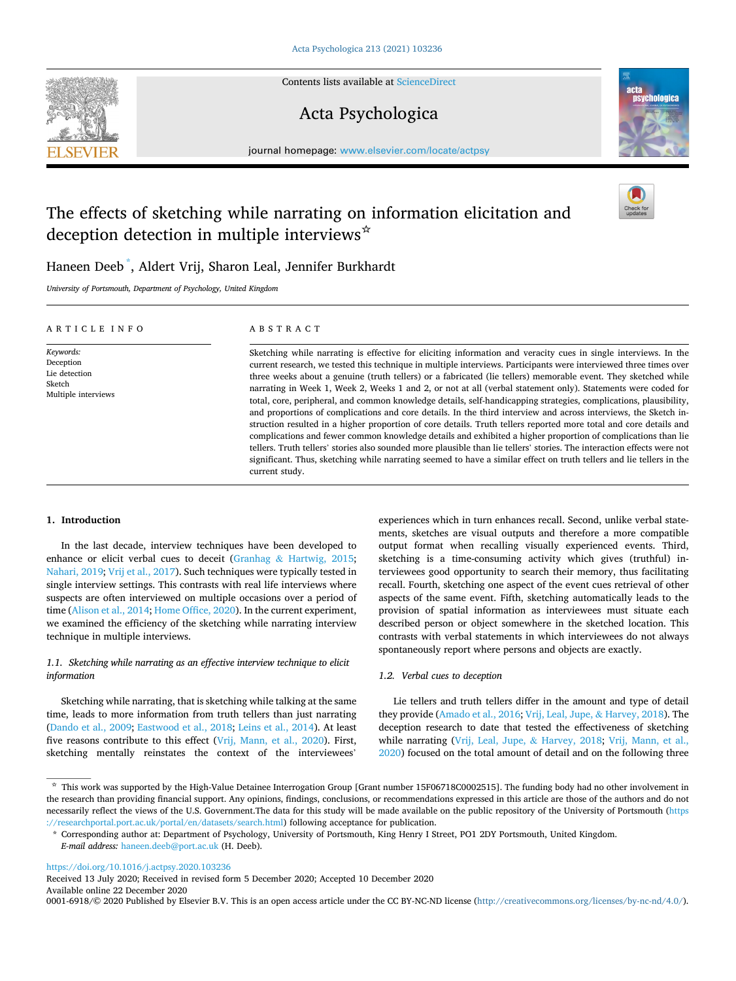

Contents lists available at [ScienceDirect](www.sciencedirect.com/science/journal/00016918)

# Acta Psychologica



journal homepage: [www.elsevier.com/locate/actpsy](https://www.elsevier.com/locate/actpsy)

# The effects of sketching while narrating on information elicitation and deception detection in multiple interviews<sup>☆</sup>



Haneen Deeb \* , Aldert Vrij, Sharon Leal, Jennifer Burkhardt

*University of Portsmouth, Department of Psychology, United Kingdom* 

| ARTICLE INFO                                                             | ABSTRACT                                                                                                                                                                                                                                                                                                                                                                                                                                                                                                                                                                                                                                                                                                                                                                                                                                                                                                                                                                                                                                                                                                                                                                                                                 |
|--------------------------------------------------------------------------|--------------------------------------------------------------------------------------------------------------------------------------------------------------------------------------------------------------------------------------------------------------------------------------------------------------------------------------------------------------------------------------------------------------------------------------------------------------------------------------------------------------------------------------------------------------------------------------------------------------------------------------------------------------------------------------------------------------------------------------------------------------------------------------------------------------------------------------------------------------------------------------------------------------------------------------------------------------------------------------------------------------------------------------------------------------------------------------------------------------------------------------------------------------------------------------------------------------------------|
| Keywords:<br>Deception<br>Lie detection<br>Sketch<br>Multiple interviews | Sketching while narrating is effective for eliciting information and veracity cues in single interviews. In the<br>current research, we tested this technique in multiple interviews. Participants were interviewed three times over<br>three weeks about a genuine (truth tellers) or a fabricated (lie tellers) memorable event. They sketched while<br>narrating in Week 1, Week 2, Weeks 1 and 2, or not at all (verbal statement only). Statements were coded for<br>total, core, peripheral, and common knowledge details, self-handicapping strategies, complications, plausibility,<br>and proportions of complications and core details. In the third interview and across interviews, the Sketch in-<br>struction resulted in a higher proportion of core details. Truth tellers reported more total and core details and<br>complications and fewer common knowledge details and exhibited a higher proportion of complications than lie<br>tellers. Truth tellers' stories also sounded more plausible than lie tellers' stories. The interaction effects were not<br>significant. Thus, sketching while narrating seemed to have a similar effect on truth tellers and lie tellers in the<br>current study. |

# **1. Introduction**

In the last decade, interview techniques have been developed to enhance or elicit verbal cues to deceit (Granhag & [Hartwig, 2015](#page-9-0); [Nahari, 2019; Vrij et al., 2017\)](#page-10-0). Such techniques were typically tested in single interview settings. This contrasts with real life interviews where suspects are often interviewed on multiple occasions over a period of time [\(Alison et al., 2014; Home Office, 2020\)](#page-9-0). In the current experiment, we examined the efficiency of the sketching while narrating interview technique in multiple interviews.

# *1.1. Sketching while narrating as an effective interview technique to elicit information*

Sketching while narrating, that is sketching while talking at the same time, leads to more information from truth tellers than just narrating ([Dando et al., 2009; Eastwood et al., 2018](#page-9-0); [Leins et al., 2014](#page-10-0)). At least five reasons contribute to this effect ([Vrij, Mann, et al., 2020](#page-10-0)). First, sketching mentally reinstates the context of the interviewees'

experiences which in turn enhances recall. Second, unlike verbal statements, sketches are visual outputs and therefore a more compatible output format when recalling visually experienced events. Third, sketching is a time-consuming activity which gives (truthful) interviewees good opportunity to search their memory, thus facilitating recall. Fourth, sketching one aspect of the event cues retrieval of other aspects of the same event. Fifth, sketching automatically leads to the provision of spatial information as interviewees must situate each described person or object somewhere in the sketched location. This contrasts with verbal statements in which interviewees do not always spontaneously report where persons and objects are exactly.

## *1.2. Verbal cues to deception*

Lie tellers and truth tellers differ in the amount and type of detail they provide ([Amado et al., 2016](#page-9-0); [Vrij, Leal, Jupe,](#page-10-0) & Harvey, 2018). The deception research to date that tested the effectiveness of sketching while narrating [\(Vrij, Leal, Jupe,](#page-10-0) & Harvey, 2018; [Vrij, Mann, et al.,](#page-10-0)  [2020\)](#page-10-0) focused on the total amount of detail and on the following three

<https://doi.org/10.1016/j.actpsy.2020.103236>

Available online 22 December 2020 Received 13 July 2020; Received in revised form 5 December 2020; Accepted 10 December 2020

0001-6918/© 2020 Published by Elsevier B.V. This is an open access article under the CC BY-NC-ND license [\(http://creativecommons.org/licenses/by-nc-nd/4.0/\)](http://creativecommons.org/licenses/by-nc-nd/4.0/).

<sup>☆</sup> This work was supported by the High-Value Detainee Interrogation Group [Grant number 15F06718C0002515]. The funding body had no other involvement in the research than providing financial support. Any opinions, findings, conclusions, or recommendations expressed in this article are those of the authors and do not necessarily reflect the views of the U.S. Government.The data for this study will be made available on the public repository of the University of Portsmouth ([https](https://researchportal.port.ac.uk/portal/en/datasets/search.html)  [://researchportal.port.ac.uk/portal/en/datasets/search.html](https://researchportal.port.ac.uk/portal/en/datasets/search.html)) following acceptance for publication.

<sup>\*</sup> Corresponding author at: Department of Psychology, University of Portsmouth, King Henry I Street, PO1 2DY Portsmouth, United Kingdom. *E-mail address:* [haneen.deeb@port.ac.uk](mailto:haneen.deeb@port.ac.uk) (H. Deeb).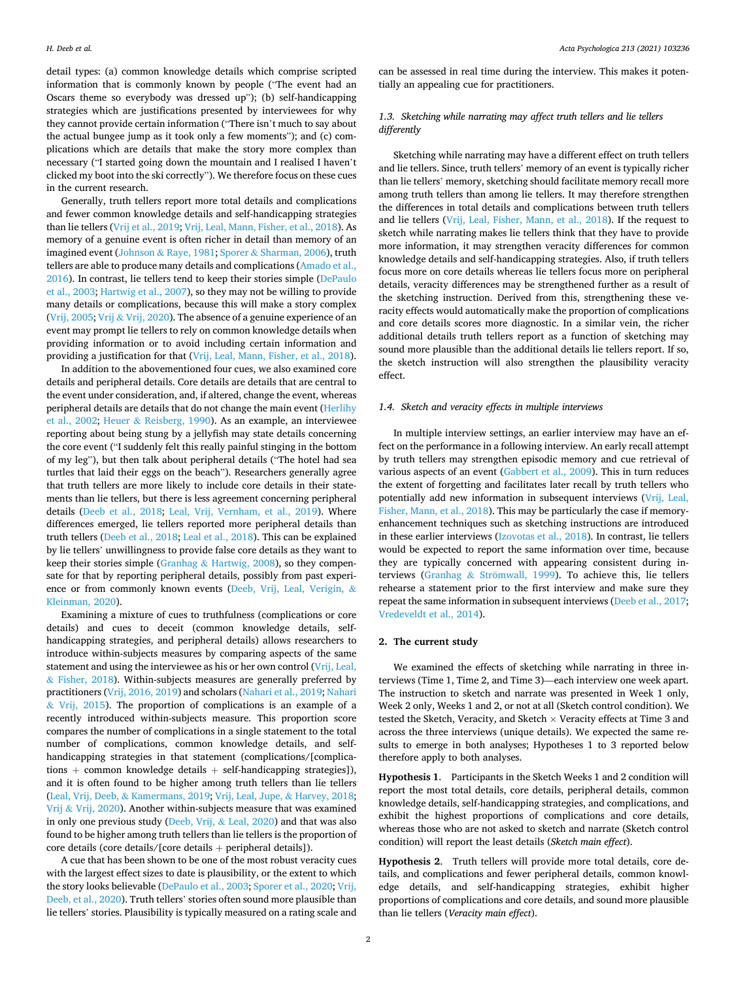detail types: (a) common knowledge details which comprise scripted information that is commonly known by people ("The event had an Oscars theme so everybody was dressed up"); (b) self-handicapping strategies which are justifications presented by interviewees for why they cannot provide certain information ("There isn't much to say about the actual bungee jump as it took only a few moments"); and (c) complications which are details that make the story more complex than necessary ("I started going down the mountain and I realised I haven't clicked my boot into the ski correctly"). We therefore focus on these cues in the current research.

Generally, truth tellers report more total details and complications and fewer common knowledge details and self-handicapping strategies than lie tellers ([Vrij et al., 2019](#page-10-0); [Vrij, Leal, Mann, Fisher, et al., 2018](#page-10-0)). As memory of a genuine event is often richer in detail than memory of an imagined event (Johnson & [Raye, 1981](#page-9-0); Sporer & [Sharman, 2006](#page-10-0)), truth tellers are able to produce many details and complications ([Amado et al.,](#page-9-0)  [2016\)](#page-9-0). In contrast, lie tellers tend to keep their stories simple [\(DePaulo](#page-9-0)  [et al., 2003](#page-9-0); [Hartwig et al., 2007](#page-9-0)), so they may not be willing to provide many details or complications, because this will make a story complex ([Vrij, 2005;](#page-10-0) Vrij & [Vrij, 2020](#page-10-0)). The absence of a genuine experience of an event may prompt lie tellers to rely on common knowledge details when providing information or to avoid including certain information and providing a justification for that [\(Vrij, Leal, Mann, Fisher, et al., 2018](#page-10-0)).

In addition to the abovementioned four cues, we also examined core details and peripheral details. Core details are details that are central to the event under consideration, and, if altered, change the event, whereas peripheral details are details that do not change the main event [\(Herlihy](#page-9-0)  [et al., 2002;](#page-9-0) Heuer & [Reisberg, 1990](#page-9-0)). As an example, an interviewee reporting about being stung by a jellyfish may state details concerning the core event ("I suddenly felt this really painful stinging in the bottom of my leg"), but then talk about peripheral details ("The hotel had sea turtles that laid their eggs on the beach"). Researchers generally agree that truth tellers are more likely to include core details in their statements than lie tellers, but there is less agreement concerning peripheral details [\(Deeb et al., 2018](#page-9-0); [Leal, Vrij, Vernham, et al., 2019\)](#page-10-0). Where differences emerged, lie tellers reported more peripheral details than truth tellers [\(Deeb et al., 2018; Leal et al., 2018\)](#page-9-0). This can be explained by lie tellers' unwillingness to provide false core details as they want to keep their stories simple (Granhag & [Hartwig, 2008\)](#page-9-0), so they compensate for that by reporting peripheral details, possibly from past experience or from commonly known events [\(Deeb, Vrij, Leal, Verigin,](#page-9-0) & [Kleinman, 2020\)](#page-9-0).

Examining a mixture of cues to truthfulness (complications or core details) and cues to deceit (common knowledge details, selfhandicapping strategies, and peripheral details) allows researchers to introduce within-subjects measures by comparing aspects of the same statement and using the interviewee as his or her own control ([Vrij, Leal,](#page-10-0)   $&$  [Fisher, 2018\)](#page-10-0). Within-subjects measures are generally preferred by practitioners ([Vrij, 2016, 2019\)](#page-10-0) and scholars [\(Nahari et al., 2019; Nahari](#page-10-0)   $&$  [Vrij, 2015](#page-10-0)). The proportion of complications is an example of a recently introduced within-subjects measure. This proportion score compares the number of complications in a single statement to the total number of complications, common knowledge details, and selfhandicapping strategies in that statement (complications/[complications + common knowledge details + self-handicapping strategies]), and it is often found to be higher among truth tellers than lie tellers (Leal, Vrij, Deeb, & [Kamermans, 2019; Vrij, Leal, Jupe,](#page-10-0) & Harvey, 2018; Vrij & [Vrij, 2020](#page-10-0)). Another within-subjects measure that was examined in only one previous study [\(Deeb, Vrij,](#page-9-0) & Leal, 2020) and that was also found to be higher among truth tellers than lie tellers is the proportion of core details (core details/[core details + peripheral details]).

A cue that has been shown to be one of the most robust veracity cues with the largest effect sizes to date is plausibility, or the extent to which the story looks believable [\(DePaulo et al., 2003](#page-9-0); [Sporer et al., 2020](#page-10-0); [Vrij,](#page-10-0)  [Deeb, et al., 2020](#page-10-0)). Truth tellers' stories often sound more plausible than lie tellers' stories. Plausibility is typically measured on a rating scale and can be assessed in real time during the interview. This makes it potentially an appealing cue for practitioners.

## *1.3. Sketching while narrating may affect truth tellers and lie tellers differently*

Sketching while narrating may have a different effect on truth tellers and lie tellers. Since, truth tellers' memory of an event is typically richer than lie tellers' memory, sketching should facilitate memory recall more among truth tellers than among lie tellers. It may therefore strengthen the differences in total details and complications between truth tellers and lie tellers [\(Vrij, Leal, Fisher, Mann, et al., 2018\)](#page-10-0). If the request to sketch while narrating makes lie tellers think that they have to provide more information, it may strengthen veracity differences for common knowledge details and self-handicapping strategies. Also, if truth tellers focus more on core details whereas lie tellers focus more on peripheral details, veracity differences may be strengthened further as a result of the sketching instruction. Derived from this, strengthening these veracity effects would automatically make the proportion of complications and core details scores more diagnostic. In a similar vein, the richer additional details truth tellers report as a function of sketching may sound more plausible than the additional details lie tellers report. If so, the sketch instruction will also strengthen the plausibility veracity effect.

#### *1.4. Sketch and veracity effects in multiple interviews*

In multiple interview settings, an earlier interview may have an effect on the performance in a following interview. An early recall attempt by truth tellers may strengthen episodic memory and cue retrieval of various aspects of an event ([Gabbert et al., 2009\)](#page-9-0). This in turn reduces the extent of forgetting and facilitates later recall by truth tellers who potentially add new information in subsequent interviews [\(Vrij, Leal,](#page-10-0)  [Fisher, Mann, et al., 2018](#page-10-0)). This may be particularly the case if memoryenhancement techniques such as sketching instructions are introduced in these earlier interviews ([Izovotas et al., 2018](#page-9-0)). In contrast, lie tellers would be expected to report the same information over time, because they are typically concerned with appearing consistent during interviews (Granhag & Strömwall, 1999). To achieve this, lie tellers rehearse a statement prior to the first interview and make sure they repeat the same information in subsequent interviews [\(Deeb et al., 2017](#page-9-0); [Vredeveldt et al., 2014\)](#page-10-0).

## **2. The current study**

We examined the effects of sketching while narrating in three interviews (Time 1, Time 2, and Time 3)—each interview one week apart. The instruction to sketch and narrate was presented in Week 1 only, Week 2 only, Weeks 1 and 2, or not at all (Sketch control condition). We tested the Sketch, Veracity, and Sketch  $\times$  Veracity effects at Time 3 and across the three interviews (unique details). We expected the same results to emerge in both analyses; Hypotheses 1 to 3 reported below therefore apply to both analyses.

**Hypothesis 1**. Participants in the Sketch Weeks 1 and 2 condition will report the most total details, core details, peripheral details, common knowledge details, self-handicapping strategies, and complications, and exhibit the highest proportions of complications and core details, whereas those who are not asked to sketch and narrate (Sketch control condition) will report the least details (*Sketch main effect*).

**Hypothesis 2**. Truth tellers will provide more total details, core details, and complications and fewer peripheral details, common knowledge details, and self-handicapping strategies, exhibit higher proportions of complications and core details, and sound more plausible than lie tellers (*Veracity main effect*).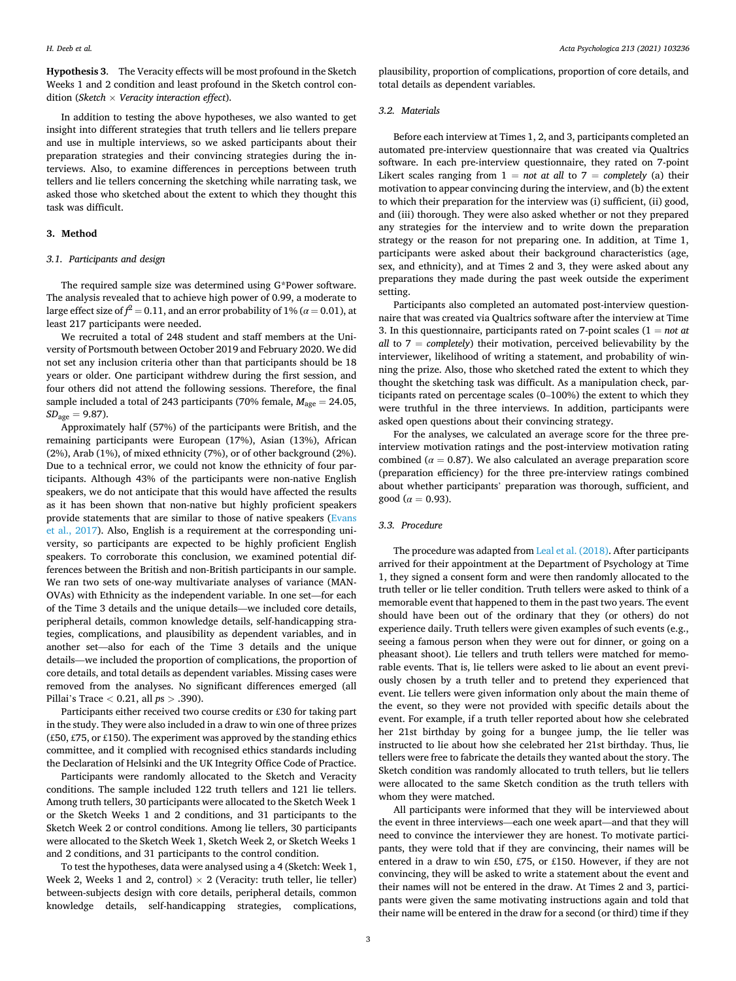**Hypothesis 3**. The Veracity effects will be most profound in the Sketch Weeks 1 and 2 condition and least profound in the Sketch control condition (*Sketch* × *Veracity interaction effect*).

In addition to testing the above hypotheses, we also wanted to get insight into different strategies that truth tellers and lie tellers prepare and use in multiple interviews, so we asked participants about their preparation strategies and their convincing strategies during the interviews. Also, to examine differences in perceptions between truth tellers and lie tellers concerning the sketching while narrating task, we asked those who sketched about the extent to which they thought this task was difficult.

# **3. Method**

#### *3.1. Participants and design*

The required sample size was determined using G\*Power software. The analysis revealed that to achieve high power of 0.99, a moderate to large effect size of  $\hat{f}^2=0.11,$  and an error probability of  $1\%$  (*α* = 0.01), at least 217 participants were needed.

We recruited a total of 248 student and staff members at the University of Portsmouth between October 2019 and February 2020. We did not set any inclusion criteria other than that participants should be 18 years or older. One participant withdrew during the first session, and four others did not attend the following sessions. Therefore, the final sample included a total of 243 participants (70% female,  $M_{\text{age}} = 24.05$ ,  $SD<sub>age</sub> = 9.87$ ).

Approximately half (57%) of the participants were British, and the remaining participants were European (17%), Asian (13%), African (2%), Arab (1%), of mixed ethnicity (7%), or of other background (2%). Due to a technical error, we could not know the ethnicity of four participants. Although 43% of the participants were non-native English speakers, we do not anticipate that this would have affected the results as it has been shown that non-native but highly proficient speakers provide statements that are similar to those of native speakers [\(Evans](#page-9-0)  [et al., 2017\)](#page-9-0). Also, English is a requirement at the corresponding university, so participants are expected to be highly proficient English speakers. To corroborate this conclusion, we examined potential differences between the British and non-British participants in our sample. We ran two sets of one-way multivariate analyses of variance (MAN-OVAs) with Ethnicity as the independent variable. In one set—for each of the Time 3 details and the unique details—we included core details, peripheral details, common knowledge details, self-handicapping strategies, complications, and plausibility as dependent variables, and in another set—also for each of the Time 3 details and the unique details—we included the proportion of complications, the proportion of core details, and total details as dependent variables. Missing cases were removed from the analyses. No significant differences emerged (all Pillai's Trace *<* 0.21, all *p*s *>* .390).

Participants either received two course credits or £30 for taking part in the study. They were also included in a draw to win one of three prizes (£50, £75, or £150). The experiment was approved by the standing ethics committee, and it complied with recognised ethics standards including the Declaration of Helsinki and the UK Integrity Office Code of Practice.

Participants were randomly allocated to the Sketch and Veracity conditions. The sample included 122 truth tellers and 121 lie tellers. Among truth tellers, 30 participants were allocated to the Sketch Week 1 or the Sketch Weeks 1 and 2 conditions, and 31 participants to the Sketch Week 2 or control conditions. Among lie tellers, 30 participants were allocated to the Sketch Week 1, Sketch Week 2, or Sketch Weeks 1 and 2 conditions, and 31 participants to the control condition.

To test the hypotheses, data were analysed using a 4 (Sketch: Week 1, Week 2, Weeks 1 and 2, control)  $\times$  2 (Veracity: truth teller, lie teller) between-subjects design with core details, peripheral details, common knowledge details, self-handicapping strategies, complications,

plausibility, proportion of complications, proportion of core details, and total details as dependent variables.

#### *3.2. Materials*

Before each interview at Times 1, 2, and 3, participants completed an automated pre-interview questionnaire that was created via Qualtrics software. In each pre-interview questionnaire, they rated on 7-point Likert scales ranging from  $1 = not$  at all to  $7 = completely$  (a) their motivation to appear convincing during the interview, and (b) the extent to which their preparation for the interview was (i) sufficient, (ii) good, and (iii) thorough. They were also asked whether or not they prepared any strategies for the interview and to write down the preparation strategy or the reason for not preparing one. In addition, at Time 1, participants were asked about their background characteristics (age, sex, and ethnicity), and at Times 2 and 3, they were asked about any preparations they made during the past week outside the experiment setting.

Participants also completed an automated post-interview questionnaire that was created via Qualtrics software after the interview at Time 3. In this questionnaire, participants rated on 7-point scales (1 = *not at all* to  $7 = \text{completely}$  their motivation, perceived believability by the interviewer, likelihood of writing a statement, and probability of winning the prize. Also, those who sketched rated the extent to which they thought the sketching task was difficult. As a manipulation check, participants rated on percentage scales (0–100%) the extent to which they were truthful in the three interviews. In addition, participants were asked open questions about their convincing strategy.

For the analyses, we calculated an average score for the three preinterview motivation ratings and the post-interview motivation rating combined ( $\alpha = 0.87$ ). We also calculated an average preparation score (preparation efficiency) for the three pre-interview ratings combined about whether participants' preparation was thorough, sufficient, and good ( $\alpha = 0.93$ ).

#### *3.3. Procedure*

The procedure was adapted from [Leal et al. \(2018\).](#page-9-0) After participants arrived for their appointment at the Department of Psychology at Time 1, they signed a consent form and were then randomly allocated to the truth teller or lie teller condition. Truth tellers were asked to think of a memorable event that happened to them in the past two years. The event should have been out of the ordinary that they (or others) do not experience daily. Truth tellers were given examples of such events (e.g., seeing a famous person when they were out for dinner, or going on a pheasant shoot). Lie tellers and truth tellers were matched for memorable events. That is, lie tellers were asked to lie about an event previously chosen by a truth teller and to pretend they experienced that event. Lie tellers were given information only about the main theme of the event, so they were not provided with specific details about the event. For example, if a truth teller reported about how she celebrated her 21st birthday by going for a bungee jump, the lie teller was instructed to lie about how she celebrated her 21st birthday. Thus, lie tellers were free to fabricate the details they wanted about the story. The Sketch condition was randomly allocated to truth tellers, but lie tellers were allocated to the same Sketch condition as the truth tellers with whom they were matched.

All participants were informed that they will be interviewed about the event in three interviews—each one week apart—and that they will need to convince the interviewer they are honest. To motivate participants, they were told that if they are convincing, their names will be entered in a draw to win £50, £75, or £150. However, if they are not convincing, they will be asked to write a statement about the event and their names will not be entered in the draw. At Times 2 and 3, participants were given the same motivating instructions again and told that their name will be entered in the draw for a second (or third) time if they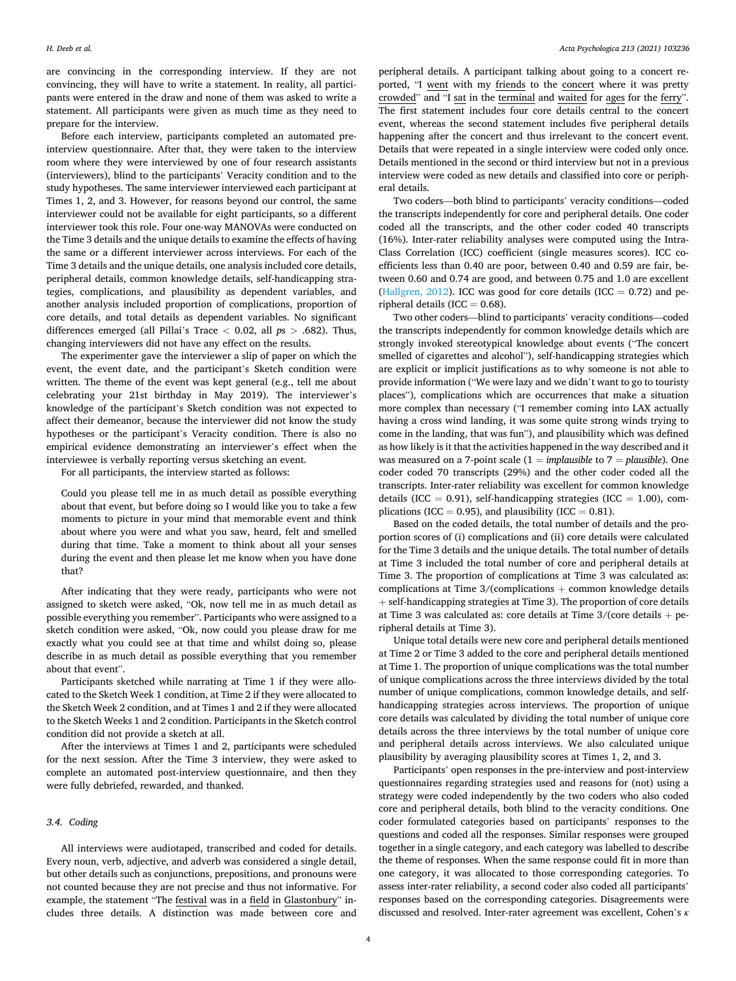are convincing in the corresponding interview. If they are not convincing, they will have to write a statement. In reality, all participants were entered in the draw and none of them was asked to write a statement. All participants were given as much time as they need to prepare for the interview.

Before each interview, participants completed an automated preinterview questionnaire. After that, they were taken to the interview room where they were interviewed by one of four research assistants (interviewers), blind to the participants' Veracity condition and to the study hypotheses. The same interviewer interviewed each participant at Times 1, 2, and 3. However, for reasons beyond our control, the same interviewer could not be available for eight participants, so a different interviewer took this role. Four one-way MANOVAs were conducted on the Time 3 details and the unique details to examine the effects of having the same or a different interviewer across interviews. For each of the Time 3 details and the unique details, one analysis included core details, peripheral details, common knowledge details, self-handicapping strategies, complications, and plausibility as dependent variables, and another analysis included proportion of complications, proportion of core details, and total details as dependent variables. No significant differences emerged (all Pillai's Trace *<* 0.02, all *p*s *>* .682). Thus, changing interviewers did not have any effect on the results.

The experimenter gave the interviewer a slip of paper on which the event, the event date, and the participant's Sketch condition were written. The theme of the event was kept general (e.g., tell me about celebrating your 21st birthday in May 2019). The interviewer's knowledge of the participant's Sketch condition was not expected to affect their demeanor, because the interviewer did not know the study hypotheses or the participant's Veracity condition. There is also no empirical evidence demonstrating an interviewer's effect when the interviewee is verbally reporting versus sketching an event.

For all participants, the interview started as follows:

Could you please tell me in as much detail as possible everything about that event, but before doing so I would like you to take a few moments to picture in your mind that memorable event and think about where you were and what you saw, heard, felt and smelled during that time. Take a moment to think about all your senses during the event and then please let me know when you have done that?

After indicating that they were ready, participants who were not assigned to sketch were asked, "Ok, now tell me in as much detail as possible everything you remember". Participants who were assigned to a sketch condition were asked, "Ok, now could you please draw for me exactly what you could see at that time and whilst doing so, please describe in as much detail as possible everything that you remember about that event".

Participants sketched while narrating at Time 1 if they were allocated to the Sketch Week 1 condition, at Time 2 if they were allocated to the Sketch Week 2 condition, and at Times 1 and 2 if they were allocated to the Sketch Weeks 1 and 2 condition. Participants in the Sketch control condition did not provide a sketch at all.

After the interviews at Times 1 and 2, participants were scheduled for the next session. After the Time 3 interview, they were asked to complete an automated post-interview questionnaire, and then they were fully debriefed, rewarded, and thanked.

## *3.4. Coding*

All interviews were audiotaped, transcribed and coded for details. Every noun, verb, adjective, and adverb was considered a single detail, but other details such as conjunctions, prepositions, and pronouns were not counted because they are not precise and thus not informative. For example, the statement "The festival was in a field in Glastonbury" includes three details. A distinction was made between core and

peripheral details. A participant talking about going to a concert reported, "I went with my friends to the concert where it was pretty crowded" and "I sat in the terminal and waited for ages for the ferry". The first statement includes four core details central to the concert event, whereas the second statement includes five peripheral details happening after the concert and thus irrelevant to the concert event. Details that were repeated in a single interview were coded only once. Details mentioned in the second or third interview but not in a previous interview were coded as new details and classified into core or peripheral details.

Two coders—both blind to participants' veracity conditions—coded the transcripts independently for core and peripheral details. One coder coded all the transcripts, and the other coder coded 40 transcripts (16%). Inter-rater reliability analyses were computed using the Intra-Class Correlation (ICC) coefficient (single measures scores). ICC coefficients less than 0.40 are poor, between 0.40 and 0.59 are fair, between 0.60 and 0.74 are good, and between 0.75 and 1.0 are excellent ([Hallgren, 2012](#page-9-0)). ICC was good for core details (ICC  $= 0.72$ ) and peripheral details (ICC  $= 0.68$ ).

Two other coders—blind to participants' veracity conditions—coded the transcripts independently for common knowledge details which are strongly invoked stereotypical knowledge about events ("The concert smelled of cigarettes and alcohol"), self-handicapping strategies which are explicit or implicit justifications as to why someone is not able to provide information ("We were lazy and we didn't want to go to touristy places"), complications which are occurrences that make a situation more complex than necessary ("I remember coming into LAX actually having a cross wind landing, it was some quite strong winds trying to come in the landing, that was fun"), and plausibility which was defined as how likely is it that the activities happened in the way described and it was measured on a 7-point scale (1 = *implausible* to 7 = *plausible*). One coder coded 70 transcripts (29%) and the other coder coded all the transcripts. Inter-rater reliability was excellent for common knowledge details (ICC = 0.91), self-handicapping strategies (ICC = 1.00), complications (ICC = 0.95), and plausibility (ICC =  $0.81$ ).

Based on the coded details, the total number of details and the proportion scores of (i) complications and (ii) core details were calculated for the Time 3 details and the unique details. The total number of details at Time 3 included the total number of core and peripheral details at Time 3. The proportion of complications at Time 3 was calculated as: complications at Time 3/(complications + common knowledge details + self-handicapping strategies at Time 3). The proportion of core details at Time 3 was calculated as: core details at Time  $3/(\text{core details + pe-})$ ripheral details at Time 3).

Unique total details were new core and peripheral details mentioned at Time 2 or Time 3 added to the core and peripheral details mentioned at Time 1. The proportion of unique complications was the total number of unique complications across the three interviews divided by the total number of unique complications, common knowledge details, and selfhandicapping strategies across interviews. The proportion of unique core details was calculated by dividing the total number of unique core details across the three interviews by the total number of unique core and peripheral details across interviews. We also calculated unique plausibility by averaging plausibility scores at Times 1, 2, and 3.

Participants' open responses in the pre-interview and post-interview questionnaires regarding strategies used and reasons for (not) using a strategy were coded independently by the two coders who also coded core and peripheral details, both blind to the veracity conditions. One coder formulated categories based on participants' responses to the questions and coded all the responses. Similar responses were grouped together in a single category, and each category was labelled to describe the theme of responses. When the same response could fit in more than one category, it was allocated to those corresponding categories. To assess inter-rater reliability, a second coder also coded all participants' responses based on the corresponding categories. Disagreements were discussed and resolved. Inter-rater agreement was excellent, Cohen's *κ*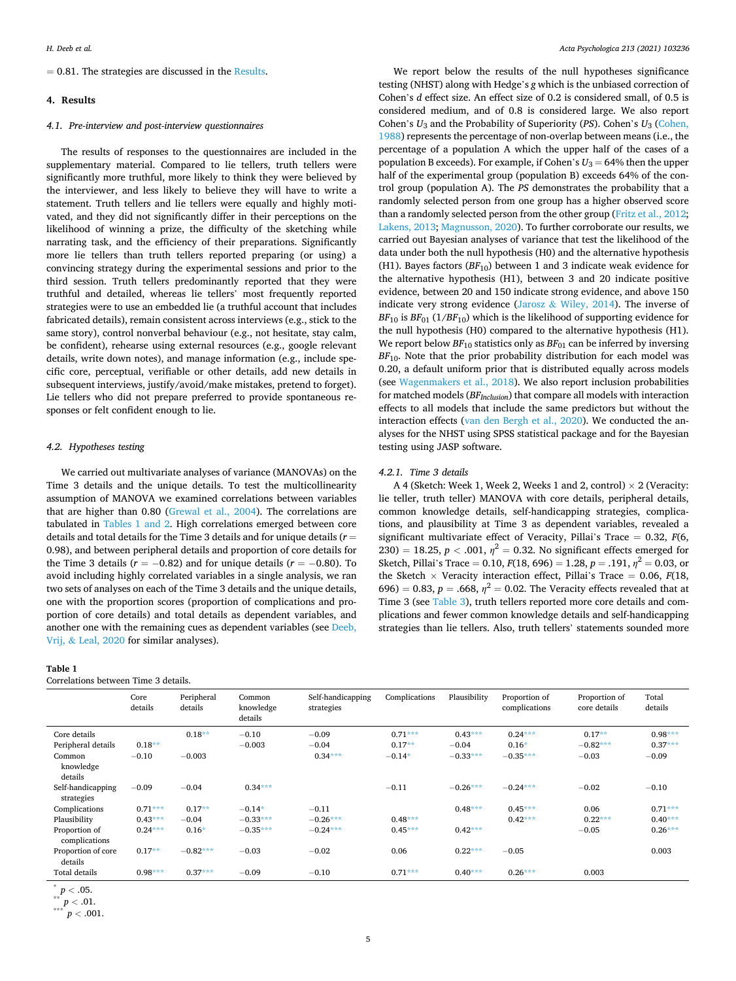### **4. Results**

#### *4.1. Pre-interview and post-interview questionnaires*

The results of responses to the questionnaires are included in the supplementary material. Compared to lie tellers, truth tellers were significantly more truthful, more likely to think they were believed by the interviewer, and less likely to believe they will have to write a statement. Truth tellers and lie tellers were equally and highly motivated, and they did not significantly differ in their perceptions on the likelihood of winning a prize, the difficulty of the sketching while narrating task, and the efficiency of their preparations. Significantly more lie tellers than truth tellers reported preparing (or using) a convincing strategy during the experimental sessions and prior to the third session. Truth tellers predominantly reported that they were truthful and detailed, whereas lie tellers' most frequently reported strategies were to use an embedded lie (a truthful account that includes fabricated details), remain consistent across interviews (e.g., stick to the same story), control nonverbal behaviour (e.g., not hesitate, stay calm, be confident), rehearse using external resources (e.g., google relevant details, write down notes), and manage information (e.g., include specific core, perceptual, verifiable or other details, add new details in subsequent interviews, justify/avoid/make mistakes, pretend to forget). Lie tellers who did not prepare preferred to provide spontaneous responses or felt confident enough to lie.

### *4.2. Hypotheses testing*

We carried out multivariate analyses of variance (MANOVAs) on the Time 3 details and the unique details. To test the multicollinearity assumption of MANOVA we examined correlations between variables that are higher than 0.80 ([Grewal et al., 2004](#page-9-0)). The correlations are tabulated in Tables 1 and 2. High correlations emerged between core details and total details for the Time 3 details and for unique details (*r* = 0.98), and between peripheral details and proportion of core details for the Time 3 details ( $r = -0.82$ ) and for unique details ( $r = -0.80$ ). To avoid including highly correlated variables in a single analysis, we ran two sets of analyses on each of the Time 3 details and the unique details, one with the proportion scores (proportion of complications and proportion of core details) and total details as dependent variables, and another one with the remaining cues as dependent variables (see [Deeb,](#page-9-0)  Vrij, & [Leal, 2020](#page-9-0) for similar analyses).

#### **Table 1**

Correlations between Time 3 details.

We report below the results of the null hypotheses significance testing (NHST) along with Hedge's *g* which is the unbiased correction of Cohen's *d* effect size. An effect size of 0.2 is considered small, of 0.5 is considered medium, and of 0.8 is considered large. We also report Cohen's *U*3 and the Probability of Superiority (*PS*). Cohen's *U*3 [\(Cohen,](#page-9-0)  [1988\)](#page-9-0) represents the percentage of non-overlap between means (i.e., the percentage of a population A which the upper half of the cases of a population B exceeds). For example, if Cohen's  $U_3 = 64\%$  then the upper half of the experimental group (population B) exceeds 64% of the control group (population A). The *PS* demonstrates the probability that a randomly selected person from one group has a higher observed score than a randomly selected person from the other group [\(Fritz et al., 2012](#page-9-0); [Lakens, 2013;](#page-9-0) [Magnusson, 2020\)](#page-10-0). To further corroborate our results, we carried out Bayesian analyses of variance that test the likelihood of the data under both the null hypothesis (H0) and the alternative hypothesis (H1). Bayes factors  $(BF_{10})$  between 1 and 3 indicate weak evidence for the alternative hypothesis (H1), between 3 and 20 indicate positive evidence, between 20 and 150 indicate strong evidence, and above 150 indicate very strong evidence (Jarosz  $&$  [Wiley, 2014](#page-9-0)). The inverse of  $BF_{10}$  is  $BF_{01}$  (1/*BF*<sub>10</sub>) which is the likelihood of supporting evidence for the null hypothesis (H0) compared to the alternative hypothesis (H1). We report below  $BF_{10}$  statistics only as  $BF_{01}$  can be inferred by inversing  $BF<sub>10</sub>$ . Note that the prior probability distribution for each model was 0.20, a default uniform prior that is distributed equally across models (see [Wagenmakers et al., 2018](#page-10-0)). We also report inclusion probabilities for matched models (*BFInclusion*) that compare all models with interaction effects to all models that include the same predictors but without the interaction effects [\(van den Bergh et al., 2020](#page-9-0)). We conducted the analyses for the NHST using SPSS statistical package and for the Bayesian testing using JASP software.

#### *4.2.1. Time 3 details*

A 4 (Sketch: Week 1, Week 2, Weeks 1 and 2, control)  $\times$  2 (Veracity: lie teller, truth teller) MANOVA with core details, peripheral details, common knowledge details, self-handicapping strategies, complications, and plausibility at Time 3 as dependent variables, revealed a significant multivariate effect of Veracity, Pillai's Trace = 0.32, *F*(6, 230) = 18.25,  $p < .001$ ,  $\eta^2 = 0.32$ . No significant effects emerged for Sketch, Pillai's Trace = 0.10,  $F(18, 696) = 1.28$ ,  $p = .191$ ,  $\eta^2 = 0.03$ , or the Sketch  $\times$  Veracity interaction effect, Pillai's Trace = 0.06, *F*(18, 696) = 0.83,  $p = .668$ ,  $\eta^2 = 0.02$ . The Veracity effects revealed that at Time 3 (see [Table 3\)](#page-5-0), truth tellers reported more core details and complications and fewer common knowledge details and self-handicapping strategies than lie tellers. Also, truth tellers' statements sounded more

|                                    | Core<br>details | Peripheral<br>details | Common<br>knowledge<br>details | Self-handicapping<br>strategies | Complications         | Plausibility         | Proportion of<br>complications | Proportion of<br>core details | Total<br>details       |
|------------------------------------|-----------------|-----------------------|--------------------------------|---------------------------------|-----------------------|----------------------|--------------------------------|-------------------------------|------------------------|
| Core details<br>Peripheral details | $0.18**$        | $0.18**$              | $-0.10$<br>$-0.003$            | $-0.09$<br>$-0.04$              | $0.71***$<br>$0.17**$ | $0.43***$<br>$-0.04$ | $0.24***$<br>$0.16*$           | $0.17**$<br>$-0.82***$        | $0.98***$<br>$0.37***$ |
| Common<br>knowledge<br>details     | $-0.10$         | $-0.003$              |                                | $0.34***$                       | $-0.14*$              | $-0.33***$           | $-0.35***$                     | $-0.03$                       | $-0.09$                |
| Self-handicapping<br>strategies    | $-0.09$         | $-0.04$               | $0.34***$                      |                                 | $-0.11$               | $-0.26***$           | $-0.24***$                     | $-0.02$                       | $-0.10$                |
| Complications                      | $0.71***$       | $0.17**$              | $-0.14*$                       | $-0.11$                         |                       | $0.48***$            | $0.45***$                      | 0.06                          | $0.71***$              |
| Plausibility                       | $0.43***$       | $-0.04$               | $-0.33***$                     | $-0.26***$                      | $0.48***$             |                      | $0.42***$                      | $0.22***$                     | $0.40***$              |
| Proportion of<br>complications     | $0.24***$       | $0.16*$               | $-0.35***$                     | $-0.24***$                      | $0.45***$             | $0.42***$            |                                | $-0.05$                       | $0.26***$              |
| Proportion of core<br>details      | $0.17**$        | $-0.82***$            | $-0.03$                        | $-0.02$                         | 0.06                  | $0.22***$            | $-0.05$                        |                               | 0.003                  |
| Total details                      | $0.98***$       | $0.37***$             | $-0.09$                        | $-0.10$                         | $0.71***$             | $0.40***$            | $0.26***$                      | 0.003                         |                        |

 ${}^{*}_{**}p < .05.$ <br>
\*\*\*  $p < .01.$ <br>
\*\*\*  $p < .001.$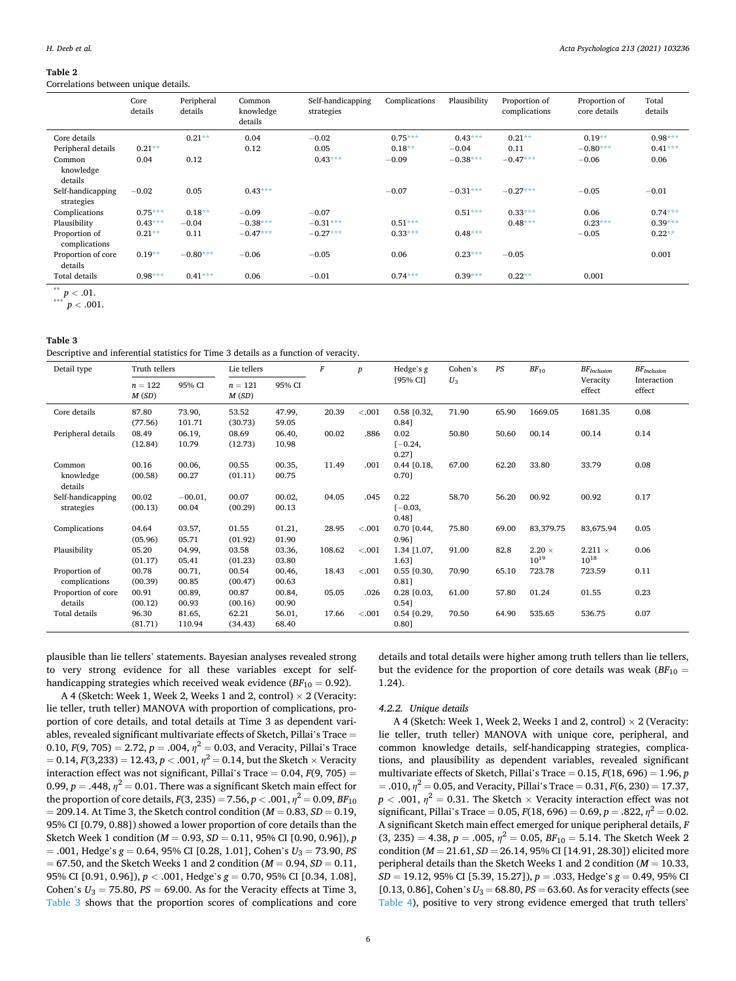#### <span id="page-5-0"></span>**Table 2**

Correlations between unique details.

|                                 | Core<br>details | Peripheral<br>details | Common<br>knowledge<br>details | Self-handicapping<br>strategies | Complications | Plausibility | Proportion of<br>complications | Proportion of<br>core details | Total<br>details |
|---------------------------------|-----------------|-----------------------|--------------------------------|---------------------------------|---------------|--------------|--------------------------------|-------------------------------|------------------|
| Core details                    |                 | $0.21***$             | 0.04                           | $-0.02$                         | $0.75***$     | $0.43***$    | $0.21**$                       | $0.19**$                      | $0.98***$        |
| Peripheral details              | $0.21**$        |                       | 0.12                           | 0.05                            | $0.18***$     | $-0.04$      | 0.11                           | $-0.80***$                    | $0.41***$        |
| Common<br>knowledge<br>details  | 0.04            | 0.12                  |                                | $0.43***$                       | $-0.09$       | $-0.38***$   | $-0.47***$                     | $-0.06$                       | 0.06             |
| Self-handicapping<br>strategies | $-0.02$         | 0.05                  | $0.43***$                      |                                 | $-0.07$       | $-0.31***$   | $-0.27***$                     | $-0.05$                       | $-0.01$          |
| Complications                   | $0.75***$       | $0.18**$              | $-0.09$                        | $-0.07$                         |               | $0.51***$    | $0.33***$                      | 0.06                          | $0.74***$        |
| Plausibility                    | $0.43***$       | $-0.04$               | $-0.38***$                     | $-0.31***$                      | $0.51***$     |              | $0.48***$                      | $0.23***$                     | $0.39***$        |
| Proportion of<br>complications  | $0.21**$        | 0.11                  | $-0.47***$                     | $-0.27***$                      | $0.33***$     | $0.48***$    |                                | $-0.05$                       | $0.22**$         |
| Proportion of core<br>details   | $0.19**$        | $-0.80***$            | $-0.06$                        | $-0.05$                         | 0.06          | $0.23***$    | $-0.05$                        |                               | 0.001            |
| Total details                   | $0.98***$       | $0.41***$             | 0.06                           | $-0.01$                         | $0.74***$     | $0.39***$    | $0.22**$                       | 0.001                         |                  |
|                                 |                 |                       |                                |                                 |               |              |                                |                               |                  |

 $p < .01.$ <br> $p < .001.$ 

#### **Table 3**

Descriptive and inferential statistics for Time 3 details as a function of veracity.

| Detail type                     |                             | Truth tellers             |                             | Lie tellers              |        | $\boldsymbol{p}$ | Hedge's g                           | Cohen's | PS    | $BF_{10}$                  | $BF_{Inclusion}$            | $BF$ <i>Inclusion</i> |
|---------------------------------|-----------------------------|---------------------------|-----------------------------|--------------------------|--------|------------------|-------------------------------------|---------|-------|----------------------------|-----------------------------|-----------------------|
|                                 | $n = 122$<br>M(SD)          | 95% CI                    | $n=121$<br>M(SD)            | 95% CI                   |        |                  | [95% CI]                            | $U_3$   |       |                            | Veracity<br>effect          | Interaction<br>effect |
| Core details                    | 87.80                       | 73.90,                    | 53.52                       | 47.99,                   | 20.39  | < .001           | $0.58$ [0.32,                       | 71.90   | 65.90 | 1669.05                    | 1681.35                     | 0.08                  |
| Peripheral details              | (77.56)<br>08.49<br>(12.84) | 101.71<br>06.19,<br>10.79 | (30.73)<br>08.69<br>(12.73) | 59.05<br>06.40,<br>10.98 | 00.02  | .886             | 0.84]<br>0.02<br>$[-0.24,$<br>0.27] | 50.80   | 50.60 | 00.14                      | 00.14                       | 0.14                  |
| Common<br>knowledge<br>details  | 00.16<br>(00.58)            | 00.06,<br>00.27           | 00.55<br>(01.11)            | 00.35,<br>00.75          | 11.49  | .001             | $0.44$ $[0.18,$<br>0.70]            | 67.00   | 62.20 | 33.80                      | 33.79                       | 0.08                  |
| Self-handicapping<br>strategies | 00.02<br>(00.13)            | $-00.01,$<br>00.04        | 00.07<br>(00.29)            | 00.02,<br>00.13          | 04.05  | .045             | 0.22<br>$[-0.03,$<br>0.48]          | 58.70   | 56.20 | 00.92                      | 00.92                       | 0.17                  |
| Complications                   | 04.64<br>(05.96)            | 03.57,<br>05.71           | 01.55<br>(01.92)            | 01.21,<br>01.90          | 28.95  | $-.001$          | $0.70$ $[0.44]$<br>0.961            | 75.80   | 69.00 | 83,379.75                  | 83,675.94                   | 0.05                  |
| Plausibility                    | 05.20<br>(01.17)            | 04.99,<br>05.41           | 03.58<br>(01.23)            | 03.36,<br>03.80          | 108.62 | < .001           | 1.34 [1.07.<br>1.63]                | 91.00   | 82.8  | $2.20 \times$<br>$10^{19}$ | $2.211 \times$<br>$10^{18}$ | 0.06                  |
| Proportion of<br>complications  | 00.78<br>(00.39)            | 00.71,<br>00.85           | 00.54<br>(00.47)            | 00.46,<br>00.63          | 18.43  | < .001           | $0.55$ [0.30,<br>$0.81$ ]           | 70.90   | 65.10 | 723.78                     | 723.59                      | 0.11                  |
| Proportion of core<br>details   | 00.91<br>(00.12)            | 00.89,<br>00.93           | 00.87<br>(00.16)            | 00.84,<br>00.90          | 05.05  | .026             | $0.28$ $[0.03,$<br>0.54]            | 61.00   | 57.80 | 01.24                      | 01.55                       | 0.23                  |
| Total details                   | 96.30<br>(81.71)            | 81.65,<br>110.94          | 62.21<br>(34.43)            | 56.01,<br>68.40          | 17.66  | $-.001$          | $0.54$ $[0.29,$<br>0.80]            | 70.50   | 64.90 | 535.65                     | 536.75                      | 0.07                  |

plausible than lie tellers' statements. Bayesian analyses revealed strong to very strong evidence for all these variables except for selfhandicapping strategies which received weak evidence  $(BF_{10} = 0.92)$ .

A 4 (Sketch: Week 1, Week 2, Weeks 1 and 2, control)  $\times$  2 (Veracity: lie teller, truth teller) MANOVA with proportion of complications, proportion of core details, and total details at Time 3 as dependent variables, revealed significant multivariate effects of Sketch, Pillai's Trace = 0.10,  $F(9, 705) = 2.72$ ,  $p = .004$ ,  $\eta^2 = 0.03$ , and Veracity, Pillai's Trace  $= 0.14, F(3,233) = 12.43, p < .001, \eta^2 = 0.14$ , but the Sketch  $\times$  Veracity interaction effect was not significant, Pillai's Trace = 0.04, *F*(9, 705) = 0.99,  $p = .448$ ,  $\eta^2 = 0.01$ . There was a significant Sketch main effect for the proportion of core details,  $F(3, 235) = 7.56$ ,  $p < .001$ ,  $\eta^2 = 0.09$ ,  $BF_{10}$ = 209.14. At Time 3, the Sketch control condition (*M* = 0.83, *SD* = 0.19, 95% CI [0.79, 0.88]) showed a lower proportion of core details than the Sketch Week 1 condition (*M* = 0.93, *SD* = 0.11, 95% CI [0.90, 0.96]), *p*   $= .001$ , Hedge's  $g = 0.64$ , 95% CI [0.28, 1.01], Cohen's  $U_3 = 73.90$ , *PS* = 67.50, and the Sketch Weeks 1 and 2 condition (*M* = 0.94, *SD* = 0.11, 95% CI [0.91, 0.96]), *p <* .001, Hedge's *g* = 0.70, 95% CI [0.34, 1.08], Cohen's  $U_3 = 75.80$ ,  $PS = 69.00$ . As for the Veracity effects at Time 3, Table 3 shows that the proportion scores of complications and core

details and total details were higher among truth tellers than lie tellers, but the evidence for the proportion of core details was weak  $(BF_{10} =$ 1.24).

## *4.2.2. Unique details*

A 4 (Sketch: Week 1, Week 2, Weeks 1 and 2, control)  $\times$  2 (Veracity: lie teller, truth teller) MANOVA with unique core, peripheral, and common knowledge details, self-handicapping strategies, complications, and plausibility as dependent variables, revealed significant multivariate effects of Sketch, Pillai's Trace = 0.15, *F*(18, 696) = 1.96, *p*   $=$  .010,  $\eta^2$  = 0.05, and Veracity, Pillai's Trace = 0.31, *F*(6, 230) = 17.37,  $p < .001$ ,  $\eta^2 = 0.31$ . The Sketch  $\times$  Veracity interaction effect was not significant, Pillai's Trace = 0.05,  $F(18, 696) = 0.69$ ,  $p = .822$ ,  $\eta^2 = 0.02$ . A significant Sketch main effect emerged for unique peripheral details, *F*   $(3, 235) = 4.38, p = .005, \eta^2 = 0.05, BF_{10} = 5.14$ . The Sketch Week 2 condition (*M* = 21.61, *SD* = 26.14, 95% CI [14.91, 28.30]) elicited more peripheral details than the Sketch Weeks 1 and 2 condition (*M* = 10.33, *SD* = 19.12, 95% CI [5.39, 15.27]), *p* = .033, Hedge's *g* = 0.49, 95% CI [0.13, 0.86], Cohen's  $U_3 = 68.80$ ,  $PS = 63.60$ . As for veracity effects (see [Table 4\)](#page-6-0), positive to very strong evidence emerged that truth tellers'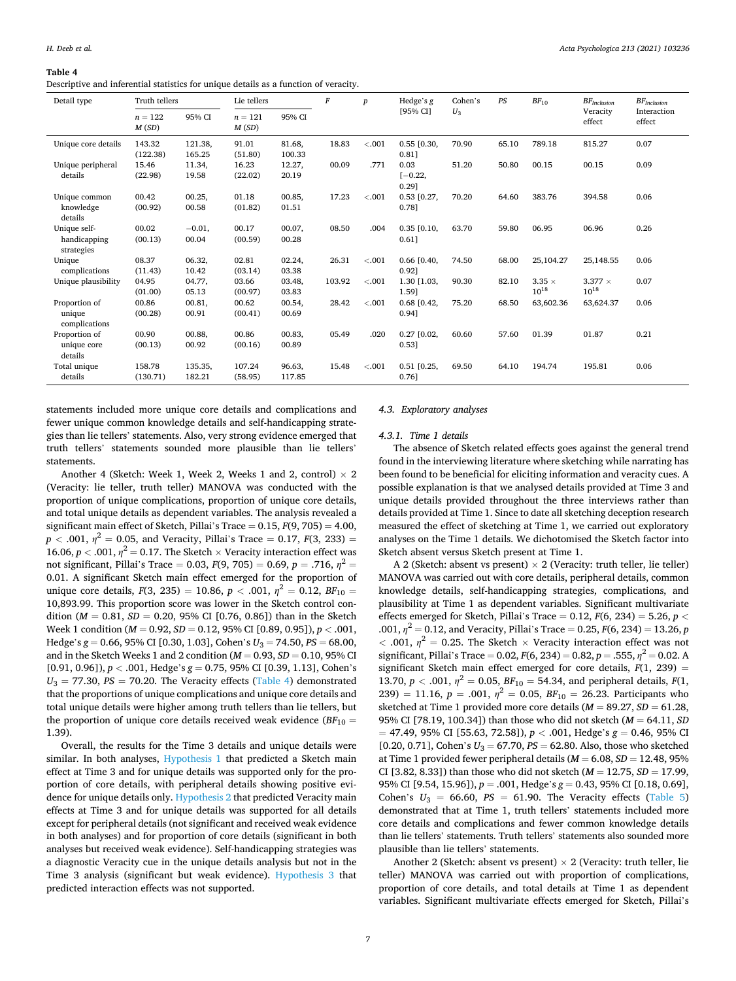<span id="page-6-0"></span>**Table 4** 

Descriptive and inferential statistics for unique details as a function of veracity.

| Detail type                                | Truth tellers      |                   | Lie tellers        |                  | $\cal F$ | $\boldsymbol{p}$ | Hedge's g                   | Cohen's | PS    | $BF_{10}$                  | $BF$ Inclusion              | $BF_{Inclusion}$      |
|--------------------------------------------|--------------------|-------------------|--------------------|------------------|----------|------------------|-----------------------------|---------|-------|----------------------------|-----------------------------|-----------------------|
|                                            | $n = 122$<br>M(SD) | 95% CI            | $n = 121$<br>M(SD) | 95% CI           |          |                  | [95% CI]                    | $U_3$   |       |                            | Veracity<br>effect          | Interaction<br>effect |
| Unique core details                        | 143.32<br>(122.38) | 121.38,<br>165.25 | 91.01<br>(51.80)   | 81.68,<br>100.33 | 18.83    | $-.001$          | $0.55$ [0.30,<br>$0.81$ ]   | 70.90   | 65.10 | 789.18                     | 815.27                      | 0.07                  |
| Unique peripheral<br>details               | 15.46<br>(22.98)   | 11.34,<br>19.58   | 16.23<br>(22.02)   | 12.27,<br>20.19  | 00.09    | .771             | 0.03<br>$[-0.22,$<br>0.291  | 51.20   | 50.80 | 00.15                      | 00.15                       | 0.09                  |
| Unique common<br>knowledge<br>details      | 00.42<br>(00.92)   | 00.25,<br>00.58   | 01.18<br>(01.82)   | 00.85,<br>01.51  | 17.23    | < 0.001          | $0.53$ [0.27,<br>0.781      | 70.20   | 64.60 | 383.76                     | 394.58                      | 0.06                  |
| Unique self-<br>handicapping<br>strategies | 00.02<br>(00.13)   | $-0.01,$<br>00.04 | 00.17<br>(00.59)   | 00.07,<br>00.28  | 08.50    | .004             | $0.35$ $[0.10,$<br>$0.61$ ] | 63.70   | 59.80 | 06.95                      | 06.96                       | 0.26                  |
| Unique<br>complications                    | 08.37<br>(11.43)   | 06.32,<br>10.42   | 02.81<br>(03.14)   | 02.24,<br>03.38  | 26.31    | < .001           | $0.66$ [0.40,<br>0.921      | 74.50   | 68.00 | 25,104.27                  | 25,148.55                   | 0.06                  |
| Unique plausibility                        | 04.95<br>(01.00)   | 04.77,<br>05.13   | 03.66<br>(00.97)   | 03.48,<br>03.83  | 103.92   | $-.001$          | 1.30 [1.03,<br>1.59]        | 90.30   | 82.10 | $3.35 \times$<br>$10^{18}$ | $3.377 \times$<br>$10^{18}$ | 0.07                  |
| Proportion of<br>unique<br>complications   | 00.86<br>(00.28)   | 00.81,<br>00.91   | 00.62<br>(00.41)   | 00.54,<br>00.69  | 28.42    | < 0.001          | $0.68$ [0.42,<br>0.941      | 75.20   | 68.50 | 63,602.36                  | 63,624.37                   | 0.06                  |
| Proportion of<br>unique core<br>details    | 00.90<br>(00.13)   | 00.88,<br>00.92   | 00.86<br>(00.16)   | 00.83,<br>00.89  | 05.49    | .020             | $0.27$ $[0.02,$<br>0.531    | 60.60   | 57.60 | 01.39                      | 01.87                       | 0.21                  |
| Total unique<br>details                    | 158.78<br>(130.71) | 135.35,<br>182.21 | 107.24<br>(58.95)  | 96.63,<br>117.85 | 15.48    | $-.001$          | $0.51$ [0.25,<br>0.761      | 69.50   | 64.10 | 194.74                     | 195.81                      | 0.06                  |

statements included more unique core details and complications and fewer unique common knowledge details and self-handicapping strategies than lie tellers' statements. Also, very strong evidence emerged that truth tellers' statements sounded more plausible than lie tellers' statements.

Another 4 (Sketch: Week 1, Week 2, Weeks 1 and 2, control)  $\times$  2 (Veracity: lie teller, truth teller) MANOVA was conducted with the proportion of unique complications, proportion of unique core details, and total unique details as dependent variables. The analysis revealed a significant main effect of Sketch, Pillai's Trace  $= 0.15$ ,  $F(9, 705) = 4.00$ ,  $p < .001$ ,  $\eta^2 = 0.05$ , and Veracity, Pillai's Trace = 0.17, *F*(3, 233) = 16.06,  $p < .001$ ,  $\eta^2 = 0.17$ . The Sketch  $\times$  Veracity interaction effect was not significant, Pillai's Trace = 0.03,  $F(9, 705) = 0.69$ ,  $p = .716$ ,  $\eta^2 =$ 0.01. A significant Sketch main effect emerged for the proportion of unique core details,  $F(3, 235) = 10.86$ ,  $p < .001$ ,  $\eta^2 = 0.12$ ,  $BF_{10} =$ 10,893.99. This proportion score was lower in the Sketch control condition  $(M = 0.81, SD = 0.20, 95\%$  CI [0.76, 0.86]) than in the Sketch Week 1 condition (*M* = 0.92, *SD* = 0.12, 95% CI [0.89, 0.95]), *p <* .001, Hedge's *g* = 0.66, 95% CI [0.30, 1.03], Cohen's *U*3 = 74.50, *PS* = 68.00, and in the Sketch Weeks 1 and 2 condition (*M* = 0.93, *SD* = 0.10, 95% CI [0.91, 0.96]), *p <* .001, Hedge's *g* = 0.75, 95% CI [0.39, 1.13], Cohen's  $U_3$  = 77.30,  $PS$  = 70.20. The Veracity effects (Table 4) demonstrated that the proportions of unique complications and unique core details and total unique details were higher among truth tellers than lie tellers, but the proportion of unique core details received weak evidence  $(BF_{10} =$ 1.39).

Overall, the results for the Time 3 details and unique details were similar. In both analyses, Hypothesis 1 that predicted a Sketch main effect at Time 3 and for unique details was supported only for the proportion of core details, with peripheral details showing positive evidence for unique details only. Hypothesis 2 that predicted Veracity main effects at Time 3 and for unique details was supported for all details except for peripheral details (not significant and received weak evidence in both analyses) and for proportion of core details (significant in both analyses but received weak evidence). Self-handicapping strategies was a diagnostic Veracity cue in the unique details analysis but not in the Time 3 analysis (significant but weak evidence). Hypothesis 3 that predicted interaction effects was not supported.

#### *4.3. Exploratory analyses*

#### *4.3.1. Time 1 details*

The absence of Sketch related effects goes against the general trend found in the interviewing literature where sketching while narrating has been found to be beneficial for eliciting information and veracity cues. A possible explanation is that we analysed details provided at Time 3 and unique details provided throughout the three interviews rather than details provided at Time 1. Since to date all sketching deception research measured the effect of sketching at Time 1, we carried out exploratory analyses on the Time 1 details. We dichotomised the Sketch factor into Sketch absent versus Sketch present at Time 1.

A 2 (Sketch: absent vs present)  $\times$  2 (Veracity: truth teller, lie teller) MANOVA was carried out with core details, peripheral details, common knowledge details, self-handicapping strategies, complications, and plausibility at Time 1 as dependent variables. Significant multivariate effects emerged for Sketch, Pillai's Trace = 0.12, *F*(6, 234) = 5.26, *p <* .001,  $\eta^2 = 0.12$ , and Veracity, Pillai's Trace = 0.25,  $F(6, 234) = 13.26$ , *p*  $<$  .001,  $\eta^2$  = 0.25. The Sketch  $\times$  Veracity interaction effect was not significant, Pillai's Trace = 0.02,  $F(6, 234) = 0.82$ ,  $p = .555$ ,  $\eta^2 = 0.02$ . A significant Sketch main effect emerged for core details, *F*(1, 239) = 13.70,  $p < .001$ ,  $\eta^2 = 0.05$ ,  $BF_{10} = 54.34$ , and peripheral details,  $F(1)$ , 239) = 11.16,  $p = .001$ ,  $\eta^2 = 0.05$ ,  $BF_{10} = 26.23$ . Participants who sketched at Time 1 provided more core details (*M* = 89.27, *SD* = 61.28, 95% CI [78.19, 100.34]) than those who did not sketch (*M* = 64.11, *SD*   $=$  47.49, 95% CI [55.63, 72.58]),  $p < .001$ , Hedge's  $g = 0.46$ , 95% CI [0.20, 0.71], Cohen's  $U_3 = 67.70$ ,  $PS = 62.80$ . Also, those who sketched at Time 1 provided fewer peripheral details  $(M = 6.08, SD = 12.48, 95\%$ CI [3.82, 8.33]) than those who did not sketch  $(M = 12.75, SD = 17.99,$ 95% CI [9.54, 15.96]), *p* = .001, Hedge's *g* = 0.43, 95% CI [0.18, 0.69], Cohen's  $U_3 = 66.60$ ,  $PS = 61.90$ . The Veracity effects ([Table 5\)](#page-7-0) demonstrated that at Time 1, truth tellers' statements included more core details and complications and fewer common knowledge details than lie tellers' statements. Truth tellers' statements also sounded more plausible than lie tellers' statements.

Another 2 (Sketch: absent vs present)  $\times$  2 (Veracity: truth teller, lie teller) MANOVA was carried out with proportion of complications, proportion of core details, and total details at Time 1 as dependent variables. Significant multivariate effects emerged for Sketch, Pillai's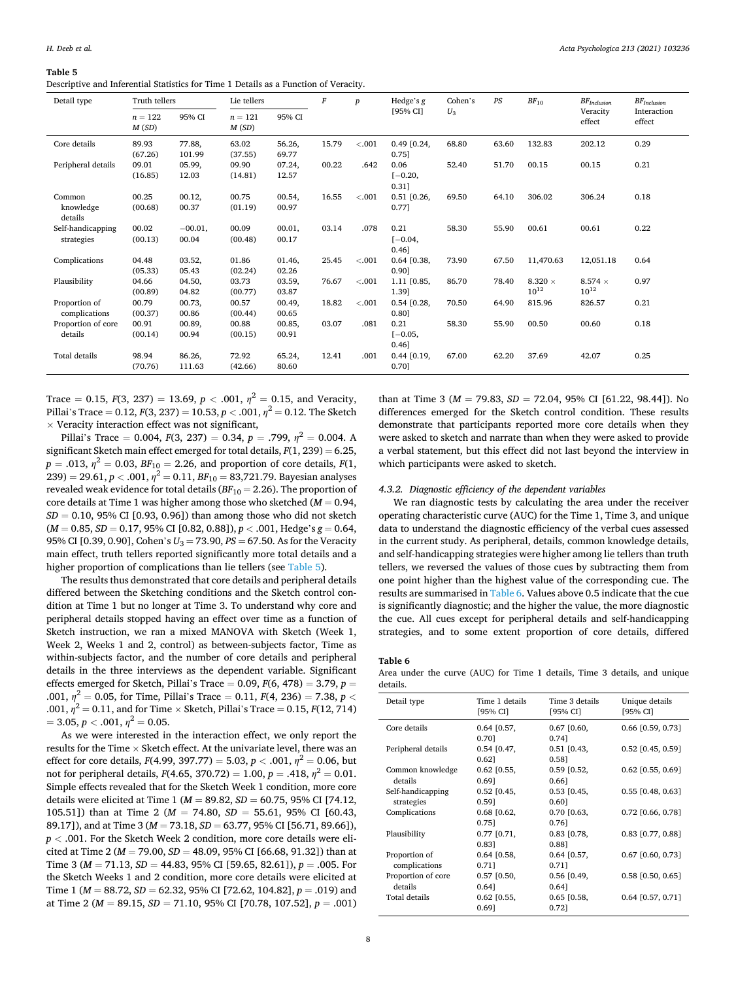<span id="page-7-0"></span>**Table 5** 

Descriptive and Inferential Statistics for Time 1 Details as a Function of Veracity.

| Detail type                     | Truth tellers      |                    | Lie tellers        |                 | F     | $\boldsymbol{p}$ | Hedge's g                     | Cohen's | PS    | $BF_{10}$                   | $BF_{Inclusion}$            | $BF$ Inclusion        |
|---------------------------------|--------------------|--------------------|--------------------|-----------------|-------|------------------|-------------------------------|---------|-------|-----------------------------|-----------------------------|-----------------------|
|                                 | $n = 122$<br>M(SD) | 95% CI             | $n = 121$<br>M(SD) | 95% CI          |       |                  | [95% CI]                      | $U_3$   |       |                             | Veracity<br>effect          | Interaction<br>effect |
| Core details                    | 89.93<br>(67.26)   | 77.88,<br>101.99   | 63.02<br>(37.55)   | 56.26,<br>69.77 | 15.79 | < .001           | $0.49$ [0.24,<br>0.751        | 68.80   | 63.60 | 132.83                      | 202.12                      | 0.29                  |
| Peripheral details              | 09.01<br>(16.85)   | 05.99,<br>12.03    | 09.90<br>(14.81)   | 07.24,<br>12.57 | 00.22 | .642             | 0.06<br>$[-0.20,$<br>0.31]    | 52.40   | 51.70 | 00.15                       | 00.15                       | 0.21                  |
| Common<br>knowledge<br>details  | 00.25<br>(00.68)   | 00.12,<br>00.37    | 00.75<br>(01.19)   | 00.54,<br>00.97 | 16.55 | $-.001$          | $0.51$ $[0.26,$<br>0.771      | 69.50   | 64.10 | 306.02                      | 306.24                      | 0.18                  |
| Self-handicapping<br>strategies | 00.02<br>(00.13)   | $-00.01,$<br>00.04 | 00.09<br>(00.48)   | 00.01,<br>00.17 | 03.14 | .078             | 0.21<br>$[-0.04,$<br>$0.46$ ] | 58.30   | 55.90 | 00.61                       | 00.61                       | 0.22                  |
| Complications                   | 04.48<br>(05.33)   | 03.52,<br>05.43    | 01.86<br>(02.24)   | 01.46,<br>02.26 | 25.45 | $-.001$          | $0.64$ [0.38,<br>0.90]        | 73.90   | 67.50 | 11.470.63                   | 12.051.18                   | 0.64                  |
| Plausibility                    | 04.66<br>(00.89)   | 04.50,<br>04.82    | 03.73<br>(00.77)   | 03.59,<br>03.87 | 76.67 | < .001           | 1.11 [0.85,<br>1.39]          | 86.70   | 78.40 | 8.320 $\times$<br>$10^{12}$ | 8.574 $\times$<br>$10^{12}$ | 0.97                  |
| Proportion of<br>complications  | 00.79<br>(00.37)   | 00.73,<br>00.86    | 00.57<br>(00.44)   | 00.49,<br>00.65 | 18.82 | < .001           | $0.54$ [0.28,<br>0.80]        | 70.50   | 64.90 | 815.96                      | 826.57                      | 0.21                  |
| Proportion of core<br>details   | 00.91<br>(00.14)   | 00.89,<br>00.94    | 00.88<br>(00.15)   | 00.85,<br>00.91 | 03.07 | .081             | 0.21<br>$[-0.05,$<br>0.46]    | 58.30   | 55.90 | 00.50                       | 00.60                       | 0.18                  |
| Total details                   | 98.94<br>(70.76)   | 86.26,<br>111.63   | 72.92<br>(42.66)   | 65.24,<br>80.60 | 12.41 | .001             | $0.44$ [0.19,<br>0.701        | 67.00   | 62.20 | 37.69                       | 42.07                       | 0.25                  |

Trace = 0.15,  $F(3, 237) = 13.69$ ,  $p < .001$ ,  $n^2 = 0.15$ , and Veracity, Pillai's Trace = 0.12,  $F(3, 237) = 10.53$ ,  $p < .001$ ,  $n^2 = 0.12$ . The Sketch  $\times$  Veracity interaction effect was not significant,

Pillai's Trace = 0.004,  $F(3, 237) = 0.34$ ,  $p = .799$ ,  $\eta^2 = 0.004$ . A significant Sketch main effect emerged for total details, *F*(1, 239) = 6.25,  $p = .013$ ,  $\eta^2 = 0.03$ ,  $BF_{10} = 2.26$ , and proportion of core details,  $F(1)$ ,  $239$ ) = 29.61, *p* < .001,  $\eta^2$  = 0.11, *BF*<sub>10</sub> = 83,721.79. Bayesian analyses revealed weak evidence for total details (*BF*10 = 2.26). The proportion of core details at Time 1 was higher among those who sketched (*M* = 0.94,  $SD = 0.10$ , 95% CI [0.93, 0.96]) than among those who did not sketch (*M* = 0.85, *SD* = 0.17, 95% CI [0.82, 0.88]), *p <* .001, Hedge's *g* = 0.64, 95% CI [0.39, 0.90], Cohen's *U*3 = 73.90, *PS* = 67.50. As for the Veracity main effect, truth tellers reported significantly more total details and a higher proportion of complications than lie tellers (see Table 5).

The results thus demonstrated that core details and peripheral details differed between the Sketching conditions and the Sketch control condition at Time 1 but no longer at Time 3. To understand why core and peripheral details stopped having an effect over time as a function of Sketch instruction, we ran a mixed MANOVA with Sketch (Week 1, Week 2, Weeks 1 and 2, control) as between-subjects factor, Time as within-subjects factor, and the number of core details and peripheral details in the three interviews as the dependent variable. Significant effects emerged for Sketch, Pillai's Trace = 0.09, *F*(6, 478) = 3.79, *p* = .001,  $\eta^2 = 0.05$ , for Time, Pillai's Trace = 0.11,  $F(4, 236) = 7.38$ ,  $p <$ .001, *η*2 = 0.11, and for Time × Sketch, Pillai's Trace = 0.15, *F*(12, 714)  $= 3.05, p < .001, \eta^2 = 0.05.$ 

As we were interested in the interaction effect, we only report the results for the Time  $\times$  Sketch effect. At the univariate level, there was an effect for core details,  $F(4.99, 397.77) = 5.03, p < .001, \eta^2 = 0.06$ , but not for peripheral details,  $F(4.65, 370.72) = 1.00, p = .418, \eta^2 = 0.01$ . Simple effects revealed that for the Sketch Week 1 condition, more core details were elicited at Time 1 (*M* = 89.82, *SD* = 60.75, 95% CI [74.12, 105.51]) than at Time 2 (*M* = 74.80, *SD* = 55.61, 95% CI [60.43, 89.17]), and at Time 3 (*M* = 73.18, *SD* = 63.77, 95% CI [56.71, 89.66]), *p <* .001. For the Sketch Week 2 condition, more core details were elicited at Time 2 (*M* = 79.00, *SD* = 48.09, 95% CI [66.68, 91.32]) than at Time 3 (*M* = 71.13, *SD* = 44.83, 95% CI [59.65, 82.61]), *p* = .005. For the Sketch Weeks 1 and 2 condition, more core details were elicited at Time 1 (*M* = 88.72, *SD* = 62.32, 95% CI [72.62, 104.82], *p* = .019) and at Time 2 (*M* = 89.15, *SD* = 71.10, 95% CI [70.78, 107.52], *p* = .001)

than at Time 3 ( $M = 79.83$ ,  $SD = 72.04$ , 95% CI [61.22, 98.44]). No differences emerged for the Sketch control condition. These results demonstrate that participants reported more core details when they were asked to sketch and narrate than when they were asked to provide a verbal statement, but this effect did not last beyond the interview in which participants were asked to sketch.

#### *4.3.2. Diagnostic efficiency of the dependent variables*

We ran diagnostic tests by calculating the area under the receiver operating characteristic curve (AUC) for the Time 1, Time 3, and unique data to understand the diagnostic efficiency of the verbal cues assessed in the current study. As peripheral, details, common knowledge details, and self-handicapping strategies were higher among lie tellers than truth tellers, we reversed the values of those cues by subtracting them from one point higher than the highest value of the corresponding cue. The results are summarised in Table 6. Values above 0.5 indicate that the cue is significantly diagnostic; and the higher the value, the more diagnostic the cue. All cues except for peripheral details and self-handicapping strategies, and to some extent proportion of core details, differed

#### **Table 6**

Area under the curve (AUC) for Time 1 details, Time 3 details, and unique details.

| Time 1 details<br>[95% CI] | Time 3 details<br>[95% CI] | Unique details<br>[95% CI] |
|----------------------------|----------------------------|----------------------------|
| $0.64$ [0.57,              | $0.67$ [0.60,              | $0.66$ [0.59, 0.73]        |
| 0.70]                      | 0.741                      |                            |
| $0.54$ [0.47,              | $0.51$ $[0.43,$            | $0.52$ [0.45, 0.59]        |
| $0.62$ ]                   | 0.581                      |                            |
| $0.62$ [0.55,              | $0.59$ $[0.52,$            | $0.62$ [0.55, 0.69]        |
| 0.691                      | 0.661                      |                            |
| $0.52$ [0.45,              | $0.53$ [0.45,              | $0.55$ [0.48, 0.63]        |
| 0.591                      | 0.60]                      |                            |
| $0.68$ [0.62,              | $0.70$ [0.63,              | $0.72$ [0.66, 0.78]        |
| 0.751                      | 0.761                      |                            |
| $0.77$ [0.71,              | $0.83$ [0.78,              | $0.83$ [0.77, 0.88]        |
| 0.831                      | 0.881                      |                            |
| $0.64$ [0.58,              | $0.64$ [0.57,              | $0.67$ [0.60, 0.73]        |
| 0.711                      | 0.711                      |                            |
| $0.57$ $[0.50,$            | $0.56$ [0.49,              | $0.58$ [0.50, 0.65]        |
| $0.64$ ]                   | 0.641                      |                            |
| $0.62$ [0.55,              | $0.65$ [0.58,              | $0.64$ [0.57, 0.71]        |
| 0.691                      | 0.721                      |                            |
|                            |                            |                            |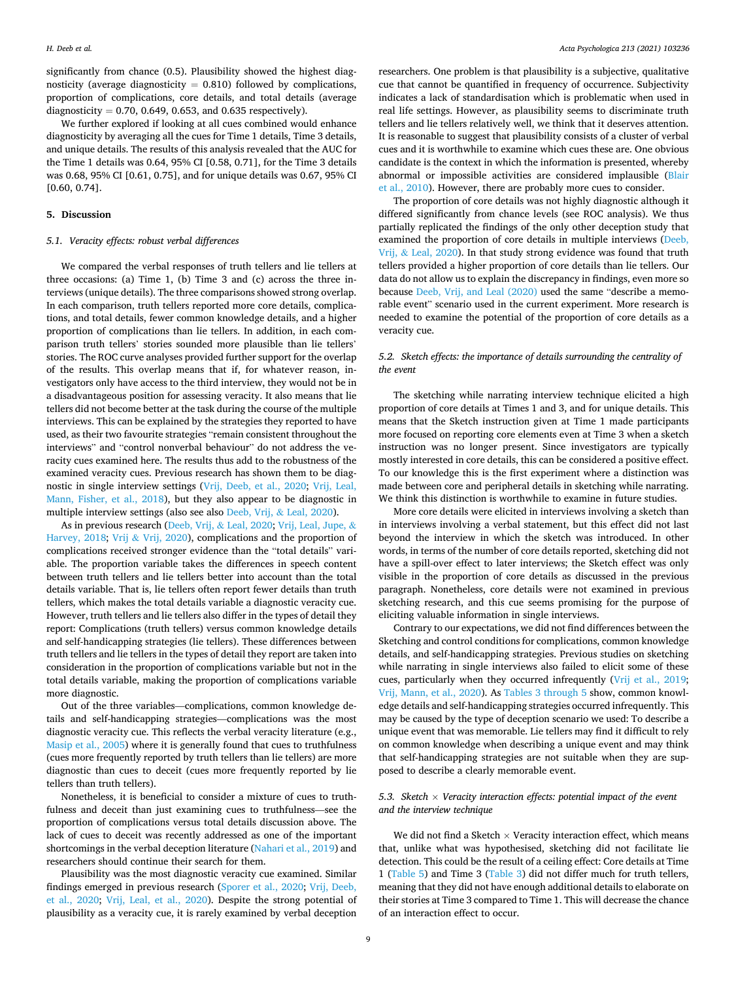significantly from chance (0.5). Plausibility showed the highest diagnosticity (average diagnosticity  $= 0.810$ ) followed by complications, proportion of complications, core details, and total details (average diagnosticity =  $0.70$ ,  $0.649$ ,  $0.653$ , and  $0.635$  respectively).

We further explored if looking at all cues combined would enhance diagnosticity by averaging all the cues for Time 1 details, Time 3 details, and unique details. The results of this analysis revealed that the AUC for the Time 1 details was 0.64, 95% CI [0.58, 0.71], for the Time 3 details was 0.68, 95% CI [0.61, 0.75], and for unique details was 0.67, 95% CI [0.60, 0.74].

## **5. Discussion**

#### *5.1. Veracity effects: robust verbal differences*

We compared the verbal responses of truth tellers and lie tellers at three occasions: (a) Time 1, (b) Time 3 and (c) across the three interviews (unique details). The three comparisons showed strong overlap. In each comparison, truth tellers reported more core details, complications, and total details, fewer common knowledge details, and a higher proportion of complications than lie tellers. In addition, in each comparison truth tellers' stories sounded more plausible than lie tellers' stories. The ROC curve analyses provided further support for the overlap of the results. This overlap means that if, for whatever reason, investigators only have access to the third interview, they would not be in a disadvantageous position for assessing veracity. It also means that lie tellers did not become better at the task during the course of the multiple interviews. This can be explained by the strategies they reported to have used, as their two favourite strategies "remain consistent throughout the interviews" and "control nonverbal behaviour" do not address the veracity cues examined here. The results thus add to the robustness of the examined veracity cues. Previous research has shown them to be diagnostic in single interview settings ([Vrij, Deeb, et al., 2020](#page-10-0); [Vrij, Leal,](#page-10-0)  [Mann, Fisher, et al., 2018\)](#page-10-0), but they also appear to be diagnostic in multiple interview settings (also see also [Deeb, Vrij,](#page-9-0) & Leal, 2020).

As in previous research [\(Deeb, Vrij,](#page-9-0) & Leal, 2020; [Vrij, Leal, Jupe,](#page-10-0) & [Harvey, 2018;](#page-10-0) Vrij & [Vrij, 2020\)](#page-10-0), complications and the proportion of complications received stronger evidence than the "total details" variable. The proportion variable takes the differences in speech content between truth tellers and lie tellers better into account than the total details variable. That is, lie tellers often report fewer details than truth tellers, which makes the total details variable a diagnostic veracity cue. However, truth tellers and lie tellers also differ in the types of detail they report: Complications (truth tellers) versus common knowledge details and self-handicapping strategies (lie tellers). These differences between truth tellers and lie tellers in the types of detail they report are taken into consideration in the proportion of complications variable but not in the total details variable, making the proportion of complications variable more diagnostic.

Out of the three variables—complications, common knowledge details and self-handicapping strategies—complications was the most diagnostic veracity cue. This reflects the verbal veracity literature (e.g., [Masip et al., 2005](#page-10-0)) where it is generally found that cues to truthfulness (cues more frequently reported by truth tellers than lie tellers) are more diagnostic than cues to deceit (cues more frequently reported by lie tellers than truth tellers).

Nonetheless, it is beneficial to consider a mixture of cues to truthfulness and deceit than just examining cues to truthfulness—see the proportion of complications versus total details discussion above. The lack of cues to deceit was recently addressed as one of the important shortcomings in the verbal deception literature ([Nahari et al., 2019\)](#page-10-0) and researchers should continue their search for them.

Plausibility was the most diagnostic veracity cue examined. Similar findings emerged in previous research [\(Sporer et al., 2020;](#page-10-0) [Vrij, Deeb,](#page-10-0)  [et al., 2020](#page-10-0); [Vrij, Leal, et al., 2020\)](#page-10-0). Despite the strong potential of plausibility as a veracity cue, it is rarely examined by verbal deception

researchers. One problem is that plausibility is a subjective, qualitative cue that cannot be quantified in frequency of occurrence. Subjectivity indicates a lack of standardisation which is problematic when used in real life settings. However, as plausibility seems to discriminate truth tellers and lie tellers relatively well, we think that it deserves attention. It is reasonable to suggest that plausibility consists of a cluster of verbal cues and it is worthwhile to examine which cues these are. One obvious candidate is the context in which the information is presented, whereby abnormal or impossible activities are considered implausible ([Blair](#page-9-0)  [et al., 2010\)](#page-9-0). However, there are probably more cues to consider.

The proportion of core details was not highly diagnostic although it differed significantly from chance levels (see ROC analysis). We thus partially replicated the findings of the only other deception study that examined the proportion of core details in multiple interviews ([Deeb,](#page-9-0)  Vrij, & [Leal, 2020\)](#page-9-0). In that study strong evidence was found that truth tellers provided a higher proportion of core details than lie tellers. Our data do not allow us to explain the discrepancy in findings, even more so because [Deeb, Vrij, and Leal \(2020\)](#page-9-0) used the same "describe a memorable event" scenario used in the current experiment. More research is needed to examine the potential of the proportion of core details as a veracity cue.

## *5.2. Sketch effects: the importance of details surrounding the centrality of the event*

The sketching while narrating interview technique elicited a high proportion of core details at Times 1 and 3, and for unique details. This means that the Sketch instruction given at Time 1 made participants more focused on reporting core elements even at Time 3 when a sketch instruction was no longer present. Since investigators are typically mostly interested in core details, this can be considered a positive effect. To our knowledge this is the first experiment where a distinction was made between core and peripheral details in sketching while narrating. We think this distinction is worthwhile to examine in future studies.

More core details were elicited in interviews involving a sketch than in interviews involving a verbal statement, but this effect did not last beyond the interview in which the sketch was introduced. In other words, in terms of the number of core details reported, sketching did not have a spill-over effect to later interviews; the Sketch effect was only visible in the proportion of core details as discussed in the previous paragraph. Nonetheless, core details were not examined in previous sketching research, and this cue seems promising for the purpose of eliciting valuable information in single interviews.

Contrary to our expectations, we did not find differences between the Sketching and control conditions for complications, common knowledge details, and self-handicapping strategies. Previous studies on sketching while narrating in single interviews also failed to elicit some of these cues, particularly when they occurred infrequently ([Vrij et al., 2019](#page-10-0); [Vrij, Mann, et al., 2020](#page-10-0)). As [Tables 3 through 5](#page-5-0) show, common knowledge details and self-handicapping strategies occurred infrequently. This may be caused by the type of deception scenario we used: To describe a unique event that was memorable. Lie tellers may find it difficult to rely on common knowledge when describing a unique event and may think that self-handicapping strategies are not suitable when they are supposed to describe a clearly memorable event.

## *5.3. Sketch* × *Veracity interaction effects: potential impact of the event and the interview technique*

We did not find a Sketch  $\times$  Veracity interaction effect, which means that, unlike what was hypothesised, sketching did not facilitate lie detection. This could be the result of a ceiling effect: Core details at Time 1 ([Table 5\)](#page-7-0) and Time 3 ([Table 3\)](#page-5-0) did not differ much for truth tellers, meaning that they did not have enough additional details to elaborate on their stories at Time 3 compared to Time 1. This will decrease the chance of an interaction effect to occur.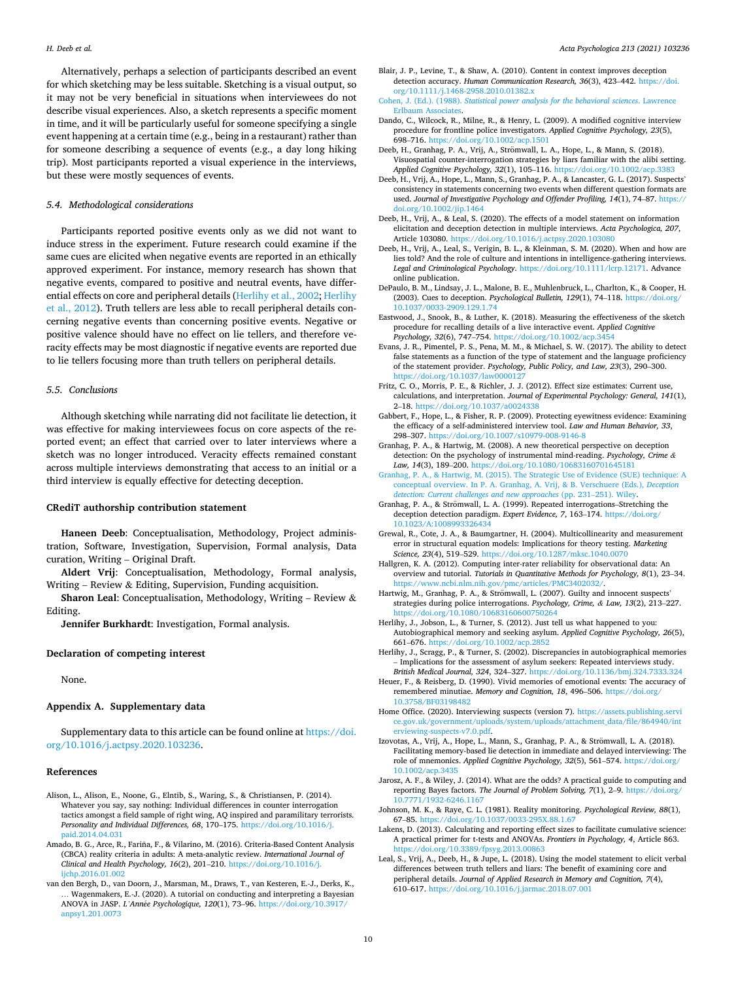<span id="page-9-0"></span>Alternatively, perhaps a selection of participants described an event for which sketching may be less suitable. Sketching is a visual output, so it may not be very beneficial in situations when interviewees do not describe visual experiences. Also, a sketch represents a specific moment in time, and it will be particularly useful for someone specifying a single event happening at a certain time (e.g., being in a restaurant) rather than for someone describing a sequence of events (e.g., a day long hiking trip). Most participants reported a visual experience in the interviews, but these were mostly sequences of events.

#### *5.4. Methodological considerations*

Participants reported positive events only as we did not want to induce stress in the experiment. Future research could examine if the same cues are elicited when negative events are reported in an ethically approved experiment. For instance, memory research has shown that negative events, compared to positive and neutral events, have differential effects on core and peripheral details (Herlihy et al., 2002; Herlihy et al., 2012). Truth tellers are less able to recall peripheral details concerning negative events than concerning positive events. Negative or positive valence should have no effect on lie tellers, and therefore veracity effects may be most diagnostic if negative events are reported due to lie tellers focusing more than truth tellers on peripheral details.

#### *5.5. Conclusions*

Although sketching while narrating did not facilitate lie detection, it was effective for making interviewees focus on core aspects of the reported event; an effect that carried over to later interviews where a sketch was no longer introduced. Veracity effects remained constant across multiple interviews demonstrating that access to an initial or a third interview is equally effective for detecting deception.

## **CRediT authorship contribution statement**

**Haneen Deeb**: Conceptualisation, Methodology, Project administration, Software, Investigation, Supervision, Formal analysis, Data curation, Writing – Original Draft.

**Aldert Vrij**: Conceptualisation, Methodology, Formal analysis, Writing – Review & Editing, Supervision, Funding acquisition.

**Sharon Leal**: Conceptualisation, Methodology, Writing – Review & Editing.

**Jennifer Burkhardt**: Investigation, Formal analysis.

## **Declaration of competing interest**

None.

### **Appendix A. Supplementary data**

Supplementary data to this article can be found online at [https://doi.](https://doi.org/10.1016/j.actpsy.2020.103236)  [org/10.1016/j.actpsy.2020.103236](https://doi.org/10.1016/j.actpsy.2020.103236).

#### **References**

- Alison, L., Alison, E., Noone, G., Elntib, S., Waring, S., & Christiansen, P. (2014). Whatever you say, say nothing: Individual differences in counter interrogation tactics amongst a field sample of right wing, AQ inspired and paramilitary terrorists. *Personality and Individual Differences, 68*, 170–175. [https://doi.org/10.1016/j.](https://doi.org/10.1016/j.paid.2014.04.031)  [paid.2014.04.031](https://doi.org/10.1016/j.paid.2014.04.031)
- Amado, B. G., Arce, R., Fariña, F., & Vilarino, M. (2016). Criteria-Based Content Analysis (CBCA) reality criteria in adults: A meta-analytic review. *International Journal of Clinical and Health Psychology, 16*(2), 201–210. [https://doi.org/10.1016/j.](https://doi.org/10.1016/j.ijchp.2016.01.002)  ijchp. 2016.01.002
- van den Bergh, D., van Doorn, J., Marsman, M., Draws, T., van Kesteren, E.-J., Derks, K., … Wagenmakers, E.-J. (2020). A tutorial on conducting and interpreting a Bayesian ANOVA in JASP. *L'Ann*´*ee Psychologique, 120*(1), 73–96. [https://doi.org/10.3917/](https://doi.org/10.3917/anpsy1.201.0073) [anpsy1.201.0073](https://doi.org/10.3917/anpsy1.201.0073)
- Blair, J. P., Levine, T., & Shaw, A. (2010). Content in context improves deception detection accuracy. *Human Communication Research, 36*(3), 423–442. [https://doi.](https://doi.org/10.1111/j.1468-2958.2010.01382.x) [org/10.1111/j.1468-2958.2010.01382.x](https://doi.org/10.1111/j.1468-2958.2010.01382.x)
- Cohen, J. (Ed.). (1988). *[Statistical power analysis for the behavioral sciences](http://refhub.elsevier.com/S0001-6918(20)30560-6/rf0025)*. Lawrence [Erlbaum Associates](http://refhub.elsevier.com/S0001-6918(20)30560-6/rf0025).
- Dando, C., Wilcock, R., Milne, R., & Henry, L. (2009). A modified cognitive interview procedure for frontline police investigators. *Applied Cognitive Psychology, 23*(5), 698–716. <https://doi.org/10.1002/acp.1501>
- Deeb, H., Granhag, P. A., Vrij, A., Strömwall, L. A., Hope, L., & Mann, S. (2018). Visuospatial counter-interrogation strategies by liars familiar with the alibi setting. *Applied Cognitive Psychology, 32*(1), 105–116. <https://doi.org/10.1002/acp.3383>
- Deeb, H., Vrij, A., Hope, L., Mann, S., Granhag, P. A., & Lancaster, G. L. (2017). Suspects' consistency in statements concerning two events when different question formats are used. *Journal of Investigative Psychology and Offender Profiling, 14*(1), 74–87. [https://](https://doi.org/10.1002/jip.1464)  [doi.org/10.1002/jip.1464](https://doi.org/10.1002/jip.1464)
- Deeb, H., Vrij, A., & Leal, S. (2020). The effects of a model statement on information elicitation and deception detection in multiple interviews. *Acta Psychologica, 207*, Article 103080. <https://doi.org/10.1016/j.actpsy.2020.103080>
- Deeb, H., Vrij, A., Leal, S., Verigin, B. L., & Kleinman, S. M. (2020). When and how are lies told? And the role of culture and intentions in intelligence-gathering interviews. *Legal and Criminological Psychology*. <https://doi.org/10.1111/lcrp.12171>. Advance online publication.
- DePaulo, B. M., Lindsay, J. L., Malone, B. E., Muhlenbruck, L., Charlton, K., & Cooper, H. (2003). Cues to deception. *Psychological Bulletin, 129*(1), 74–118. [https://doi.org/](https://doi.org/10.1037/0033-2909.129.1.74)  [10.1037/0033-2909.129.1.74](https://doi.org/10.1037/0033-2909.129.1.74)
- Eastwood, J., Snook, B., & Luther, K. (2018). Measuring the effectiveness of the sketch procedure for recalling details of a live interactive event. *Applied Cognitive Psychology, 32*(6), 747–754. https://doi.org/10.1002/acp.3
- Evans, J. R., Pimentel, P. S., Pena, M. M., & Michael, S. W. (2017). The ability to detect false statements as a function of the type of statement and the language proficiency of the statement provider. *Psychology, Public Policy, and Law, 23*(3), 290–300. <https://doi.org/10.1037/law0000127>
- Fritz, C. O., Morris, P. E., & Richler, J. J. (2012). Effect size estimates: Current use, calculations, and interpretation. *Journal of Experimental Psychology: General, 141*(1), 2–18.<https://doi.org/10.1037/a0024338>
- Gabbert, F., Hope, L., & Fisher, R. P. (2009). Protecting eyewitness evidence: Examining the efficacy of a self-administered interview tool. *Law and Human Behavior, 33*, 298–307. <https://doi.org/10.1007/s10979-008-9146-8>
- Granhag, P. A., & Hartwig, M. (2008). A new theoretical perspective on deception detection: On the psychology of instrumental mind-reading. *Psychology, Crime & Law, 14*(3), 189–200. <https://doi.org/10.1080/10683160701645181>
- [Granhag, P. A., & Hartwig, M. \(2015\). The Strategic Use of Evidence \(SUE\) technique: A](http://refhub.elsevier.com/S0001-6918(20)30560-6/rf0085)  [conceptual overview. In P. A. Granhag, A. Vrij, & B. Verschuere \(Eds.\),](http://refhub.elsevier.com/S0001-6918(20)30560-6/rf0085) *Deception [detection: Current challenges and new approaches](http://refhub.elsevier.com/S0001-6918(20)30560-6/rf0085)* (pp. 231–251). Wiley.
- Granhag, P. A., & Strömwall, L. A. (1999). Repeated interrogations–Stretching the deception detection paradigm. *Expert Evidence, 7*, 163–174. [https://doi.org/](https://doi.org/10.1023/A:1008993326434) [10.1023/A:1008993326434](https://doi.org/10.1023/A:1008993326434)
- Grewal, R., Cote, J. A., & Baumgartner, H. (2004). Multicollinearity and measurement error in structural equation models: Implications for theory testing. *Marketing Science, 23*(4), 519–529. <https://doi.org/10.1287/mksc.1040.0070>
- Hallgren, K. A. (2012). Computing inter-rater reliability for observational data: An overview and tutorial. *Tutorials in Quantitative Methods for Psychology, 8*(1), 23–34. <https://www.ncbi.nlm.nih.gov/pmc/articles/PMC3402032/>.
- Hartwig, M., Granhag, P. A., & Strömwall, L. (2007). Guilty and innocent suspects' strategies during police interrogations. *Psychology, Crime, & Law, 13*(2), 213–227. //doi.org/10.1080/10683160600750264
- Herlihy, J., Jobson, L., & Turner, S. (2012). Just tell us what happened to you: Autobiographical memory and seeking asylum. *Applied Cognitive Psychology, 26*(5), 661–676. <https://doi.org/10.1002/acp.2852>
- Herlihy, J., Scragg, P., & Turner, S. (2002). Discrepancies in autobiographical memories – Implications for the assessment of asylum seekers: Repeated interviews study. *British Medical Journal, 324*, 324–327. <https://doi.org/10.1136/bmj.324.7333.324>
- Heuer, F., & Reisberg, D. (1990). Vivid memories of emotional events: The accuracy of remembered minutiae. *Memory and Cognition, 18*, 496–506. [https://doi.org/](https://doi.org/10.3758/BF03198482)  [10.3758/BF03198482](https://doi.org/10.3758/BF03198482)
- Home Office. (2020). Interviewing suspects (version 7). [https://assets.publishing.servi](https://assets.publishing.service.gov.uk/government/uploads/system/uploads/attachment_data/file/864940/interviewing-suspects-v7.0.pdf) [ce.gov.uk/government/uploads/system/uploads/attachment\\_data/file/864940/int](https://assets.publishing.service.gov.uk/government/uploads/system/uploads/attachment_data/file/864940/interviewing-suspects-v7.0.pdf)  [erviewing-suspects-v7.0.pdf.](https://assets.publishing.service.gov.uk/government/uploads/system/uploads/attachment_data/file/864940/interviewing-suspects-v7.0.pdf)
- Izovotas, A., Vrij, A., Hope, L., Mann, S., Granhag, P. A., & Strömwall, L. A. (2018). Facilitating memory-based lie detection in immediate and delayed interviewing: The role of mnemonics. *Applied Cognitive Psychology, 32*(5), 561–574. [https://doi.org/](https://doi.org/10.1002/acp.3435)  [10.1002/acp.3435](https://doi.org/10.1002/acp.3435)
- Jarosz, A. F., & Wiley, J. (2014). What are the odds? A practical guide to computing and reporting Bayes factors. *The Journal of Problem Solving, 7*(1), 2–9. [https://doi.org/](https://doi.org/10.7771/1932-6246.1167) [10.7771/1932-6246.1167](https://doi.org/10.7771/1932-6246.1167)
- Johnson, M. K., & Raye, C. L. (1981). Reality monitoring. *Psychological Review, 88*(1), 67–85. <https://doi.org/10.1037/0033-295X.88.1.67>
- Lakens, D. (2013). Calculating and reporting effect sizes to facilitate cumulative science: A practical primer for t-tests and ANOVAs. *Frontiers in Psychology, 4*, Article 863. ://doi.org/10.3389/fpsyg.2013.00863
- Leal, S., Vrij, A., Deeb, H., & Jupe, L. (2018). Using the model statement to elicit verbal differences between truth tellers and liars: The benefit of examining core and peripheral details. *Journal of Applied Research in Memory and Cognition, 7*(4), 610–617. <https://doi.org/10.1016/j.jarmac.2018.07.001>